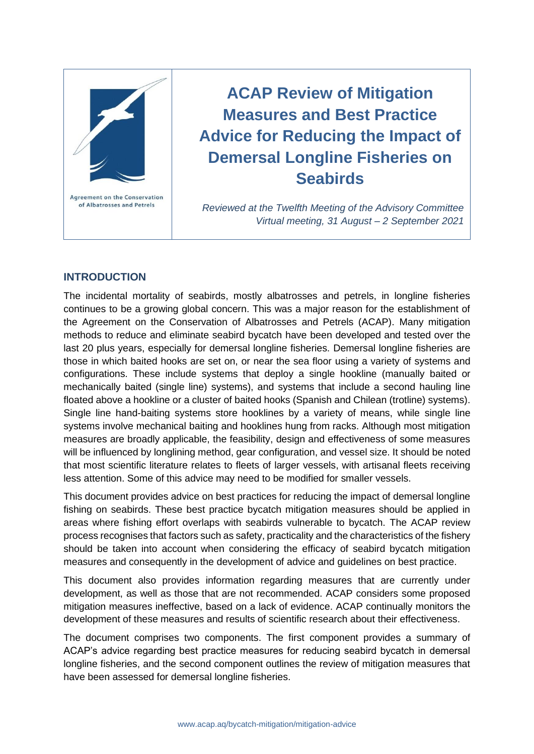

# **ACAP Review of Mitigation Measures and Best Practice Advice for Reducing the Impact of Demersal Longline Fisheries on Seabirds**

*Reviewed at the Twelfth Meeting of the Advisory Committee Virtual meeting, 31 August – 2 September 2021*

## **INTRODUCTION**

The incidental mortality of seabirds, mostly albatrosses and petrels, in longline fisheries continues to be a growing global concern. This was a major reason for the establishment of the Agreement on the Conservation of Albatrosses and Petrels (ACAP). Many mitigation methods to reduce and eliminate seabird bycatch have been developed and tested over the last 20 plus years, especially for demersal longline fisheries. Demersal longline fisheries are those in which baited hooks are set on, or near the sea floor using a variety of systems and configurations. These include systems that deploy a single hookline (manually baited or mechanically baited (single line) systems), and systems that include a second hauling line floated above a hookline or a cluster of baited hooks (Spanish and Chilean (trotline) systems). Single line hand-baiting systems store hooklines by a variety of means, while single line systems involve mechanical baiting and hooklines hung from racks. Although most mitigation measures are broadly applicable, the feasibility, design and effectiveness of some measures will be influenced by longlining method, gear configuration, and vessel size. It should be noted that most scientific literature relates to fleets of larger vessels, with artisanal fleets receiving less attention. Some of this advice may need to be modified for smaller vessels.

This document provides advice on best practices for reducing the impact of demersal longline fishing on seabirds. These best practice bycatch mitigation measures should be applied in areas where fishing effort overlaps with seabirds vulnerable to bycatch. The ACAP review process recognises that factors such as safety, practicality and the characteristics of the fishery should be taken into account when considering the efficacy of seabird bycatch mitigation measures and consequently in the development of advice and guidelines on best practice.

This document also provides information regarding measures that are currently under development, as well as those that are not recommended. ACAP considers some proposed mitigation measures ineffective, based on a lack of evidence. ACAP continually monitors the development of these measures and results of scientific research about their effectiveness.

The document comprises two components. The first component provides a summary of ACAP's advice regarding best practice measures for reducing seabird bycatch in demersal longline fisheries, and the second component outlines the review of mitigation measures that have been assessed for demersal longline fisheries.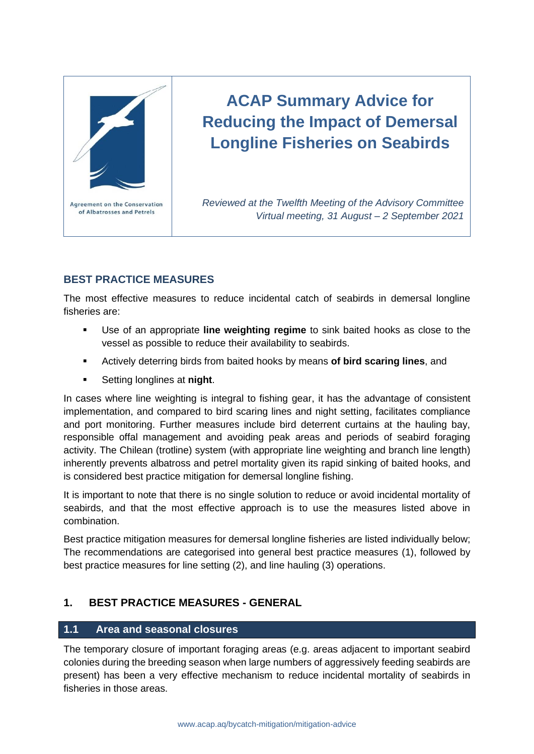

# **ACAP Summary Advice for Reducing the Impact of Demersal Longline Fisheries on Seabirds**

*Reviewed at the Twelfth Meeting of the Advisory Committee Virtual meeting, 31 August – 2 September 2021*

# **BEST PRACTICE MEASURES**

The most effective measures to reduce incidental catch of seabirds in demersal longline fisheries are:

- Use of an appropriate **line weighting regime** to sink baited hooks as close to the vessel as possible to reduce their availability to seabirds.
- Actively deterring birds from baited hooks by means **of bird scaring lines**, and
- Setting longlines at **night**.

In cases where line weighting is integral to fishing gear, it has the advantage of consistent implementation, and compared to bird scaring lines and night setting, facilitates compliance and port monitoring. Further measures include bird deterrent curtains at the hauling bay, responsible offal management and avoiding peak areas and periods of seabird foraging activity. The Chilean (trotline) system (with appropriate line weighting and branch line length) inherently prevents albatross and petrel mortality given its rapid sinking of baited hooks, and is considered best practice mitigation for demersal longline fishing.

It is important to note that there is no single solution to reduce or avoid incidental mortality of seabirds, and that the most effective approach is to use the measures listed above in combination.

Best practice mitigation measures for demersal longline fisheries are listed individually below; The recommendations are categorised into general best practice measures (1), followed by best practice measures for line setting (2), and line hauling (3) operations.

# **1. BEST PRACTICE MEASURES - GENERAL**

# **1.1 Area and seasonal closures**

The temporary closure of important foraging areas (e.g. areas adjacent to important seabird colonies during the breeding season when large numbers of aggressively feeding seabirds are present) has been a very effective mechanism to reduce incidental mortality of seabirds in fisheries in those areas.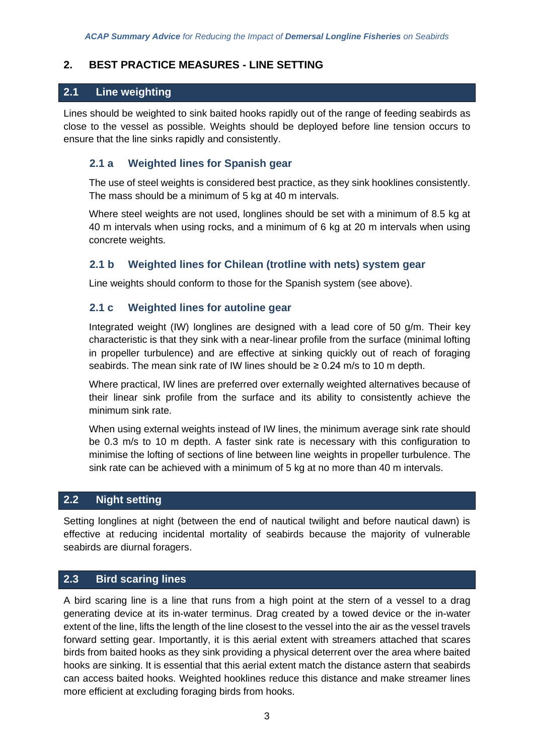## **2. BEST PRACTICE MEASURES - LINE SETTING**

## **2.1 Line weighting**

Lines should be weighted to sink baited hooks rapidly out of the range of feeding seabirds as close to the vessel as possible. Weights should be deployed before line tension occurs to ensure that the line sinks rapidly and consistently.

## **2.1 a Weighted lines for Spanish gear**

The use of steel weights is considered best practice, as they sink hooklines consistently. The mass should be a minimum of 5 kg at 40 m intervals.

Where steel weights are not used, longlines should be set with a minimum of 8.5 kg at 40 m intervals when using rocks, and a minimum of 6 kg at 20 m intervals when using concrete weights.

## **2.1 b Weighted lines for Chilean (trotline with nets) system gear**

Line weights should conform to those for the Spanish system (see above).

## **2.1 c Weighted lines for autoline gear**

Integrated weight (IW) longlines are designed with a lead core of 50 g/m. Their key characteristic is that they sink with a near-linear profile from the surface (minimal lofting in propeller turbulence) and are effective at sinking quickly out of reach of foraging seabirds. The mean sink rate of IW lines should be  $\geq 0.24$  m/s to 10 m depth.

Where practical, IW lines are preferred over externally weighted alternatives because of their linear sink profile from the surface and its ability to consistently achieve the minimum sink rate.

When using external weights instead of IW lines, the minimum average sink rate should be 0.3 m/s to 10 m depth. A faster sink rate is necessary with this configuration to minimise the lofting of sections of line between line weights in propeller turbulence. The sink rate can be achieved with a minimum of 5 kg at no more than 40 m intervals.

## **2.2 Night setting**

Setting longlines at night (between the end of nautical twilight and before nautical dawn) is effective at reducing incidental mortality of seabirds because the majority of vulnerable seabirds are diurnal foragers.

## **2.3 Bird scaring lines**

A bird scaring line is a line that runs from a high point at the stern of a vessel to a drag generating device at its in-water terminus. Drag created by a towed device or the in-water extent of the line, lifts the length of the line closest to the vessel into the air as the vessel travels forward setting gear. Importantly, it is this aerial extent with streamers attached that scares birds from baited hooks as they sink providing a physical deterrent over the area where baited hooks are sinking. It is essential that this aerial extent match the distance astern that seabirds can access baited hooks. Weighted hooklines reduce this distance and make streamer lines more efficient at excluding foraging birds from hooks.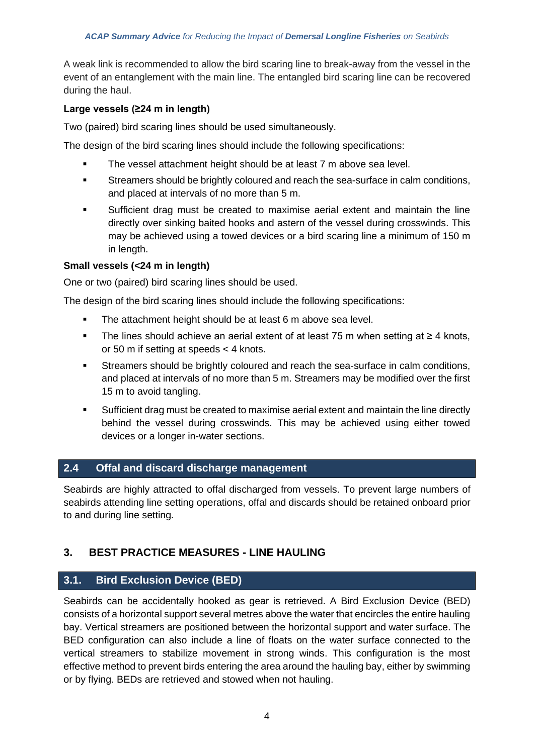A weak link is recommended to allow the bird scaring line to break-away from the vessel in the event of an entanglement with the main line. The entangled bird scaring line can be recovered during the haul.

## **Large vessels (≥24 m in length)**

Two (paired) bird scaring lines should be used simultaneously.

The design of the bird scaring lines should include the following specifications:

- The vessel attachment height should be at least 7 m above sea level.
- Streamers should be brightly coloured and reach the sea-surface in calm conditions, and placed at intervals of no more than 5 m.
- Sufficient drag must be created to maximise aerial extent and maintain the line directly over sinking baited hooks and astern of the vessel during crosswinds. This may be achieved using a towed devices or a bird scaring line a minimum of 150 m in length.

## **Small vessels (<24 m in length)**

One or two (paired) bird scaring lines should be used.

The design of the bird scaring lines should include the following specifications:

- The attachment height should be at least 6 m above sea level.
- The lines should achieve an aerial extent of at least 75 m when setting at ≥ 4 knots, or 50 m if setting at speeds < 4 knots.
- Streamers should be brightly coloured and reach the sea-surface in calm conditions, and placed at intervals of no more than 5 m. Streamers may be modified over the first 15 m to avoid tangling.
- Sufficient drag must be created to maximise aerial extent and maintain the line directly behind the vessel during crosswinds. This may be achieved using either towed devices or a longer in-water sections.

## **2.4 Offal and discard discharge management**

Seabirds are highly attracted to offal discharged from vessels. To prevent large numbers of seabirds attending line setting operations, offal and discards should be retained onboard prior to and during line setting.

# **3. BEST PRACTICE MEASURES - LINE HAULING**

# **3.1. Bird Exclusion Device (BED)**

Seabirds can be accidentally hooked as gear is retrieved. A Bird Exclusion Device (BED) consists of a horizontal support several metres above the water that encircles the entire hauling bay. Vertical streamers are positioned between the horizontal support and water surface. The BED configuration can also include a line of floats on the water surface connected to the vertical streamers to stabilize movement in strong winds. This configuration is the most effective method to prevent birds entering the area around the hauling bay, either by swimming or by flying. BEDs are retrieved and stowed when not hauling.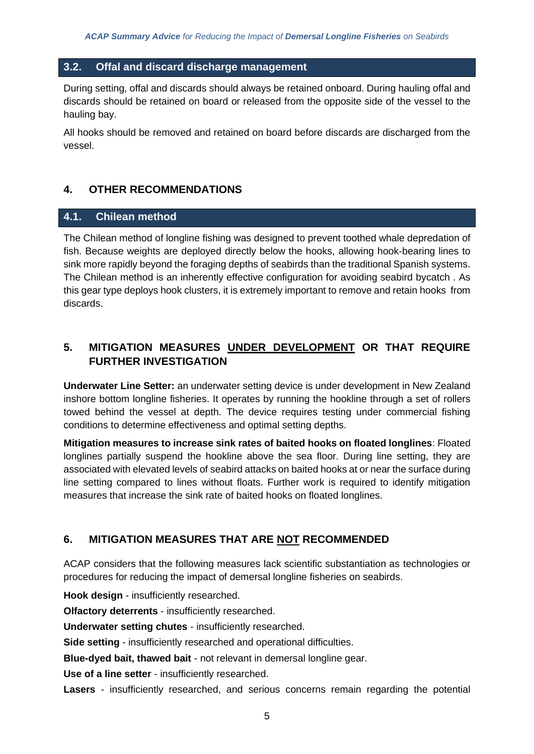## **3.2. Offal and discard discharge management**

During setting, offal and discards should always be retained onboard. During hauling offal and discards should be retained on board or released from the opposite side of the vessel to the hauling bay.

All hooks should be removed and retained on board before discards are discharged from the vessel.

## **4. OTHER RECOMMENDATIONS**

## **4.1. Chilean method**

The Chilean method of longline fishing was designed to prevent toothed whale depredation of fish. Because weights are deployed directly below the hooks, allowing hook-bearing lines to sink more rapidly beyond the foraging depths of seabirds than the traditional Spanish systems. The Chilean method is an inherently effective configuration for avoiding seabird bycatch . As this gear type deploys hook clusters, it is extremely important to remove and retain hooks from discards.

# **5. MITIGATION MEASURES UNDER DEVELOPMENT OR THAT REQUIRE FURTHER INVESTIGATION**

**Underwater Line Setter:** an underwater setting device is under development in New Zealand inshore bottom longline fisheries. It operates by running the hookline through a set of rollers towed behind the vessel at depth. The device requires testing under commercial fishing conditions to determine effectiveness and optimal setting depths.

**Mitigation measures to increase sink rates of baited hooks on floated longlines**: Floated longlines partially suspend the hookline above the sea floor. During line setting, they are associated with elevated levels of seabird attacks on baited hooks at or near the surface during line setting compared to lines without floats. Further work is required to identify mitigation measures that increase the sink rate of baited hooks on floated longlines.

## **6. MITIGATION MEASURES THAT ARE NOT RECOMMENDED**

ACAP considers that the following measures lack scientific substantiation as technologies or procedures for reducing the impact of demersal longline fisheries on seabirds.

**Hook design** - insufficiently researched.

**Olfactory deterrents** - insufficiently researched.

**Underwater setting chutes** - insufficiently researched.

**Side setting** - insufficiently researched and operational difficulties.

**Blue-dyed bait, thawed bait** - not relevant in demersal longline gear.

**Use of a line setter** - insufficiently researched.

**Lasers** - insufficiently researched, and serious concerns remain regarding the potential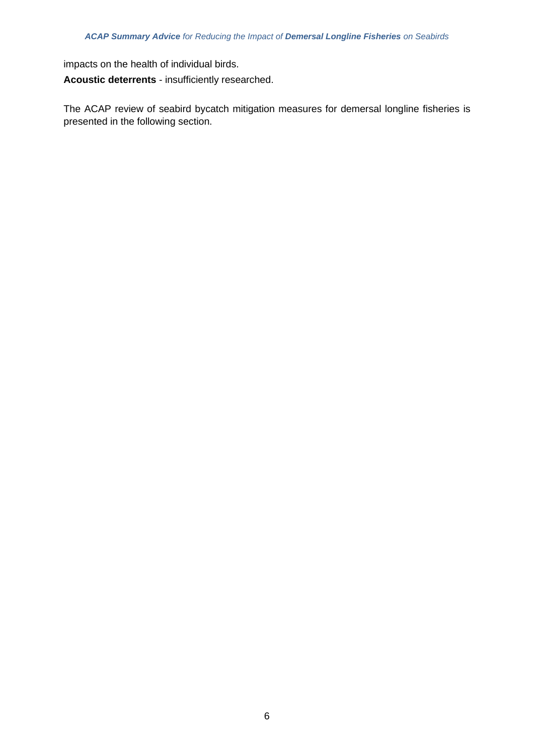impacts on the health of individual birds. **Acoustic deterrents** - insufficiently researched.

The ACAP review of seabird bycatch mitigation measures for demersal longline fisheries is presented in the following section.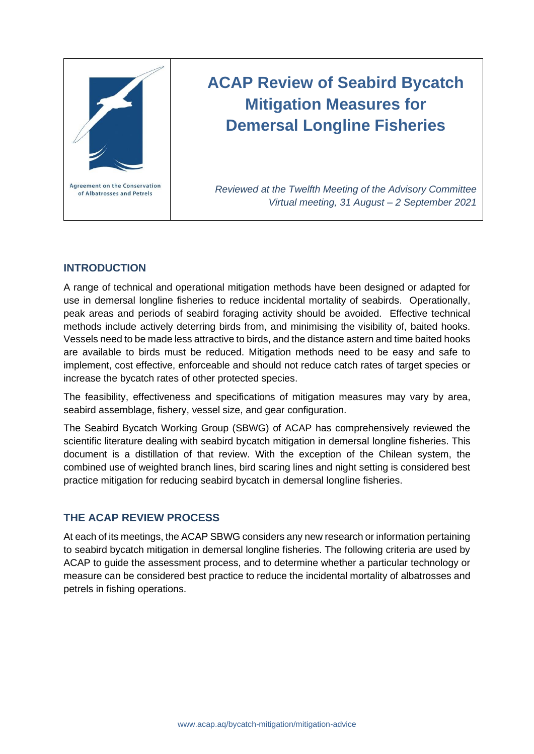

# **ACAP Review of Seabird Bycatch Mitigation Measures for Demersal Longline Fisheries**

*Reviewed at the Twelfth Meeting of the Advisory Committee Virtual meeting, 31 August – 2 September 2021*

## **INTRODUCTION**

A range of technical and operational mitigation methods have been designed or adapted for use in demersal longline fisheries to reduce incidental mortality of seabirds. Operationally, peak areas and periods of seabird foraging activity should be avoided. Effective technical methods include actively deterring birds from, and minimising the visibility of, baited hooks. Vessels need to be made less attractive to birds, and the distance astern and time baited hooks are available to birds must be reduced. Mitigation methods need to be easy and safe to implement, cost effective, enforceable and should not reduce catch rates of target species or increase the bycatch rates of other protected species.

The feasibility, effectiveness and specifications of mitigation measures may vary by area, seabird assemblage, fishery, vessel size, and gear configuration.

The Seabird Bycatch Working Group (SBWG) of ACAP has comprehensively reviewed the scientific literature dealing with seabird bycatch mitigation in demersal longline fisheries. This document is a distillation of that review. With the exception of the Chilean system, the combined use of weighted branch lines, bird scaring lines and night setting is considered best practice mitigation for reducing seabird bycatch in demersal longline fisheries.

## **THE ACAP REVIEW PROCESS**

At each of its meetings, the ACAP SBWG considers any new research or information pertaining to seabird bycatch mitigation in demersal longline fisheries. The following criteria are used by ACAP to guide the assessment process, and to determine whether a particular technology or measure can be considered best practice to reduce the incidental mortality of albatrosses and petrels in fishing operations.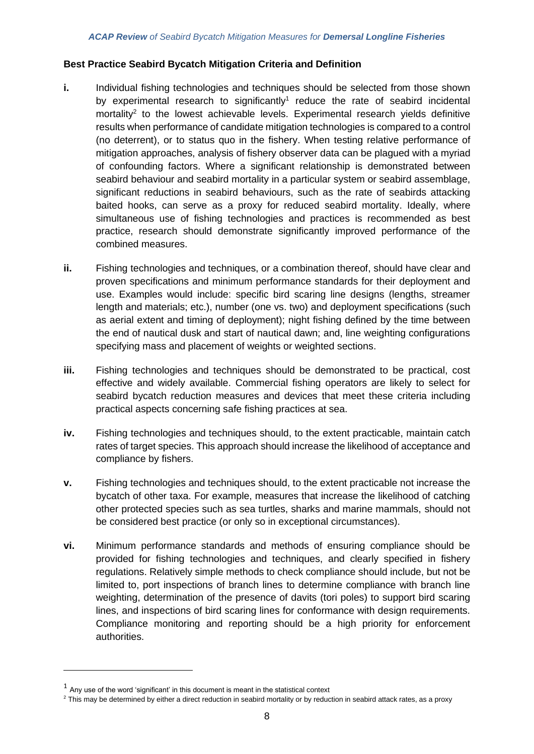#### **Best Practice Seabird Bycatch Mitigation Criteria and Definition**

- **i.** Individual fishing technologies and techniques should be selected from those shown by experimental research to significantly<sup>1</sup> reduce the rate of seabird incidental mortality<sup>2</sup> to the lowest achievable levels. Experimental research yields definitive results when performance of candidate mitigation technologies is compared to a control (no deterrent), or to status quo in the fishery. When testing relative performance of mitigation approaches, analysis of fishery observer data can be plagued with a myriad of confounding factors. Where a significant relationship is demonstrated between seabird behaviour and seabird mortality in a particular system or seabird assemblage, significant reductions in seabird behaviours, such as the rate of seabirds attacking baited hooks, can serve as a proxy for reduced seabird mortality. Ideally, where simultaneous use of fishing technologies and practices is recommended as best practice, research should demonstrate significantly improved performance of the combined measures.
- **ii.** Fishing technologies and techniques, or a combination thereof, should have clear and proven specifications and minimum performance standards for their deployment and use. Examples would include: specific bird scaring line designs (lengths, streamer length and materials; etc.), number (one vs. two) and deployment specifications (such as aerial extent and timing of deployment); night fishing defined by the time between the end of nautical dusk and start of nautical dawn; and, line weighting configurations specifying mass and placement of weights or weighted sections.
- **iii.** Fishing technologies and techniques should be demonstrated to be practical, cost effective and widely available. Commercial fishing operators are likely to select for seabird bycatch reduction measures and devices that meet these criteria including practical aspects concerning safe fishing practices at sea.
- **iv.** Fishing technologies and techniques should, to the extent practicable, maintain catch rates of target species. This approach should increase the likelihood of acceptance and compliance by fishers.
- **v.** Fishing technologies and techniques should, to the extent practicable not increase the bycatch of other taxa. For example, measures that increase the likelihood of catching other protected species such as sea turtles, sharks and marine mammals, should not be considered best practice (or only so in exceptional circumstances).
- **vi.** Minimum performance standards and methods of ensuring compliance should be provided for fishing technologies and techniques, and clearly specified in fishery regulations. Relatively simple methods to check compliance should include, but not be limited to, port inspections of branch lines to determine compliance with branch line weighting, determination of the presence of davits (tori poles) to support bird scaring lines, and inspections of bird scaring lines for conformance with design requirements. Compliance monitoring and reporting should be a high priority for enforcement authorities.

 $1$  Any use of the word 'significant' in this document is meant in the statistical context

<sup>&</sup>lt;sup>2</sup> This may be determined by either a direct reduction in seabird mortality or by reduction in seabird attack rates, as a proxy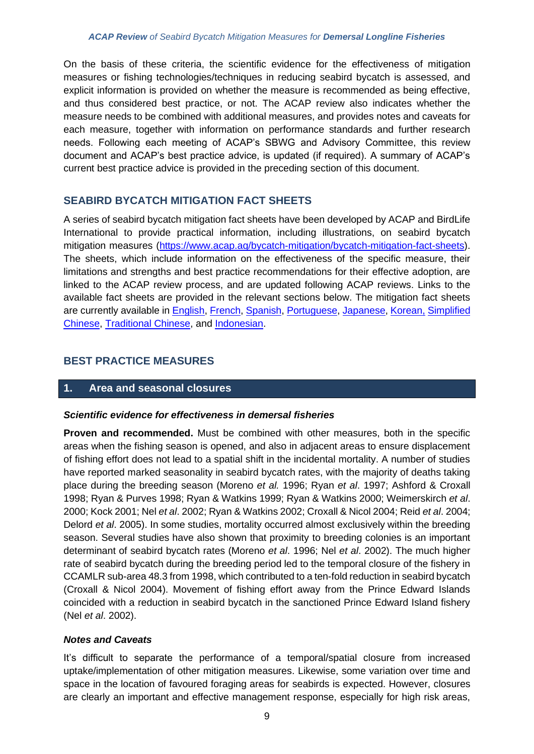On the basis of these criteria, the scientific evidence for the effectiveness of mitigation measures or fishing technologies/techniques in reducing seabird bycatch is assessed, and explicit information is provided on whether the measure is recommended as being effective, and thus considered best practice, or not. The ACAP review also indicates whether the measure needs to be combined with additional measures, and provides notes and caveats for each measure, together with information on performance standards and further research needs. Following each meeting of ACAP's SBWG and Advisory Committee, this review document and ACAP's best practice advice, is updated (if required). A summary of ACAP's current best practice advice is provided in the preceding section of this document.

# **SEABIRD BYCATCH MITIGATION FACT SHEETS**

A series of seabird bycatch mitigation fact sheets have been developed by ACAP and BirdLife International to provide practical information, including illustrations, on seabird bycatch mitigation measures [\(https://www.acap.aq/bycatch-mitigation/bycatch-mitigation-fact-sheets\)](https://www.acap.aq/bycatch-mitigation/bycatch-mitigation-fact-sheets). The sheets, which include information on the effectiveness of the specific measure, their limitations and strengths and best practice recommendations for their effective adoption, are linked to the ACAP review process, and are updated following ACAP reviews. Links to the available fact sheets are provided in the relevant sections below. The mitigation fact sheets are currently available in [English,](http://www.acap.aq/en/bycatch-mitigation/bycatch-mitigation-fact-sheets/2546-all-factsheets-zip-file/file) [French,](http://www.acap.aq/fr/captures-accidentelles/fiches-pratiques/2606-toutes-les-fiches-fichier-zip/file) [Spanish,](http://www.acap.aq/es/es-recursos-captura-incidental/hojas-informativas/2657-todas-las-hojas-informativas-archivo-zip/file) [Portuguese,](http://www.acap.aq/en/resources/bycatch-mitigation/mitigation-fact-sheets/2549-all-factsheets-zip-file-portuguese/file) [Japanese,](http://www.acap.aq/en/resources/bycatch-mitigation/mitigation-fact-sheets/2550-factsheets-zip-file-japanese/file) [Korean,](http://www.acap.aq/en/resources/bycatch-mitigation/mitigation-fact-sheets/2547-korean-factsheets-zip-file/file) [Simplified](https://www.acap.aq/bycatch-mitigation/bycatch-mitigation-fact-sheets/simplified-chinese)  [Chinese,](https://www.acap.aq/bycatch-mitigation/bycatch-mitigation-fact-sheets/simplified-chinese) [Traditional Chinese,](https://www.acap.aq/bycatch-mitigation/bycatch-mitigation-fact-sheets/traditional-chinese) and [Indonesian.](https://www.acap.aq/bycatch-mitigation/bycatch-mitigation-fact-sheets/bahasa-indonesia)

# **BEST PRACTICE MEASURES**

## **1. Area and seasonal closures**

## *Scientific evidence for effectiveness in demersal fisheries*

**Proven and recommended.** Must be combined with other measures, both in the specific areas when the fishing season is opened, and also in adjacent areas to ensure displacement of fishing effort does not lead to a spatial shift in the incidental mortality. A number of studies have reported marked seasonality in seabird bycatch rates, with the majority of deaths taking place during the breeding season (Moreno *et al.* 1996; Ryan *et al*. 1997; Ashford & Croxall 1998; Ryan & Purves 1998; Ryan & Watkins 1999; Ryan & Watkins 2000; Weimerskirch *et al*. 2000; Kock 2001; Nel *et al*. 2002; Ryan & Watkins 2002; Croxall & Nicol 2004; Reid *et al*. 2004; Delord *et al*. 2005). In some studies, mortality occurred almost exclusively within the breeding season. Several studies have also shown that proximity to breeding colonies is an important determinant of seabird bycatch rates (Moreno *et al*. 1996; Nel *et al*. 2002). The much higher rate of seabird bycatch during the breeding period led to the temporal closure of the fishery in CCAMLR sub-area 48.3 from 1998, which contributed to a ten-fold reduction in seabird bycatch (Croxall & Nicol 2004). Movement of fishing effort away from the Prince Edward Islands coincided with a reduction in seabird bycatch in the sanctioned Prince Edward Island fishery (Nel *et al*. 2002).

## *Notes and Caveats*

It's difficult to separate the performance of a temporal/spatial closure from increased uptake/implementation of other mitigation measures. Likewise, some variation over time and space in the location of favoured foraging areas for seabirds is expected. However, closures are clearly an important and effective management response, especially for high risk areas,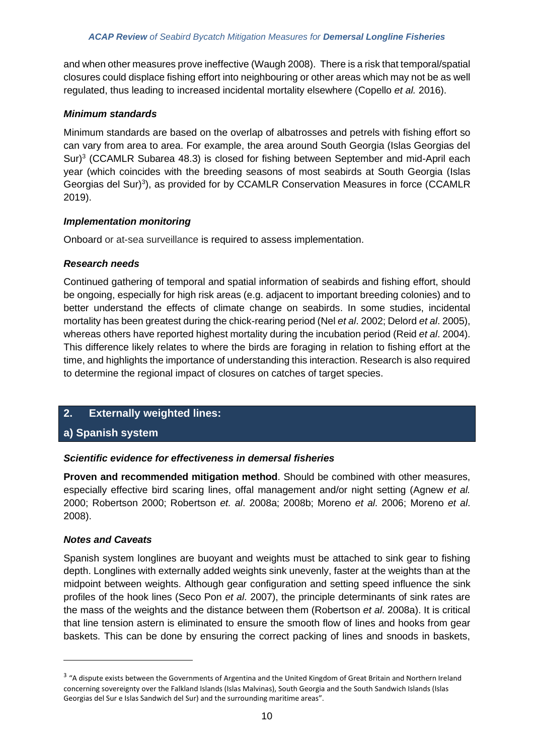and when other measures prove ineffective (Waugh 2008). There is a risk that temporal/spatial closures could displace fishing effort into neighbouring or other areas which may not be as well regulated, thus leading to increased incidental mortality elsewhere (Copello *et al.* 2016).

## *Minimum standards*

Minimum standards are based on the overlap of albatrosses and petrels with fishing effort so can vary from area to area. For example, the area around South Georgia (Islas Georgias del Sur)<sup>3</sup> (CCAMLR Subarea 48.3) is closed for fishing between September and mid-April each year (which coincides with the breeding seasons of most seabirds at South Georgia (Islas Georgias del Sur)<sup>3</sup>), as provided for by CCAMLR Conservation Measures in force (CCAMLR 2019).

## *Implementation monitoring*

Onboard or at-sea surveillance is required to assess implementation.

## *Research needs*

Continued gathering of temporal and spatial information of seabirds and fishing effort, should be ongoing, especially for high risk areas (e.g. adjacent to important breeding colonies) and to better understand the effects of climate change on seabirds. In some studies, incidental mortality has been greatest during the chick-rearing period (Nel *et al*. 2002; Delord *et al*. 2005), whereas others have reported highest mortality during the incubation period (Reid *et al*. 2004). This difference likely relates to where the birds are foraging in relation to fishing effort at the time, and highlights the importance of understanding this interaction. Research is also required to determine the regional impact of closures on catches of target species.

## **2. Externally weighted lines:**

## **a) Spanish system**

## *Scientific evidence for effectiveness in demersal fisheries*

**Proven and recommended mitigation method**. Should be combined with other measures, especially effective bird scaring lines, offal management and/or night setting (Agnew *et al.* 2000; Robertson 2000; Robertson *et. al*. 2008a; 2008b; Moreno *et al*. 2006; Moreno *et al*. 2008).

## *Notes and Caveats*

Spanish system longlines are buoyant and weights must be attached to sink gear to fishing depth. Longlines with externally added weights sink unevenly, faster at the weights than at the midpoint between weights. Although gear configuration and setting speed influence the sink profiles of the hook lines (Seco Pon *et al*. 2007), the principle determinants of sink rates are the mass of the weights and the distance between them (Robertson *et al*. 2008a). It is critical that line tension astern is eliminated to ensure the smooth flow of lines and hooks from gear baskets. This can be done by ensuring the correct packing of lines and snoods in baskets,

<sup>&</sup>lt;sup>3</sup> "A dispute exists between the Governments of Argentina and the United Kingdom of Great Britain and Northern Ireland concerning sovereignty over the Falkland Islands (Islas Malvinas), South Georgia and the South Sandwich Islands (Islas Georgias del Sur e Islas Sandwich del Sur) and the surrounding maritime areas".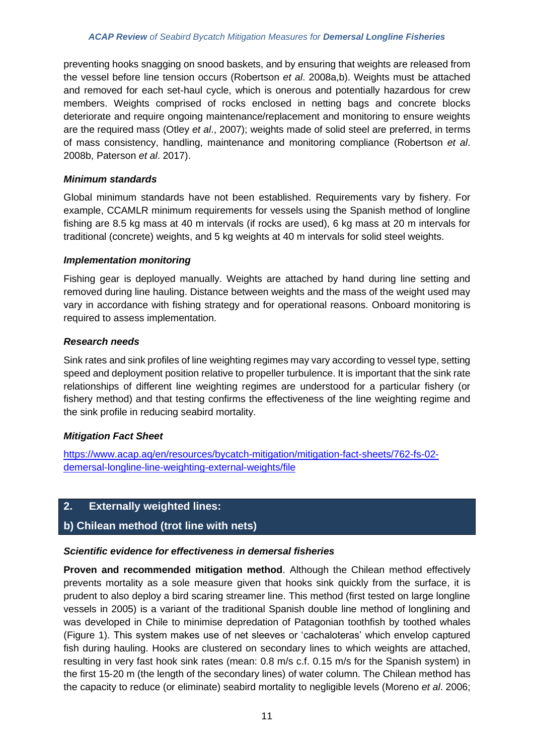preventing hooks snagging on snood baskets, and by ensuring that weights are released from the vessel before line tension occurs (Robertson *et al*. 2008a,b). Weights must be attached and removed for each set-haul cycle, which is onerous and potentially hazardous for crew members. Weights comprised of rocks enclosed in netting bags and concrete blocks deteriorate and require ongoing maintenance/replacement and monitoring to ensure weights are the required mass (Otley *et al*., 2007); weights made of solid steel are preferred, in terms of mass consistency, handling, maintenance and monitoring compliance (Robertson *et al*. 2008b, Paterson *et al*. 2017).

## *Minimum standards*

Global minimum standards have not been established. Requirements vary by fishery. For example, CCAMLR minimum requirements for vessels using the Spanish method of longline fishing are 8.5 kg mass at 40 m intervals (if rocks are used), 6 kg mass at 20 m intervals for traditional (concrete) weights, and 5 kg weights at 40 m intervals for solid steel weights.

## *Implementation monitoring*

Fishing gear is deployed manually. Weights are attached by hand during line setting and removed during line hauling. Distance between weights and the mass of the weight used may vary in accordance with fishing strategy and for operational reasons. Onboard monitoring is required to assess implementation.

## *Research needs*

Sink rates and sink profiles of line weighting regimes may vary according to vessel type, setting speed and deployment position relative to propeller turbulence. It is important that the sink rate relationships of different line weighting regimes are understood for a particular fishery (or fishery method) and that testing confirms the effectiveness of the line weighting regime and the sink profile in reducing seabird mortality.

## *Mitigation Fact Sheet*

[https://www.acap.aq/en/resources/bycatch-mitigation/mitigation-fact-sheets/762-fs-02](https://www.acap.aq/en/resources/bycatch-mitigation/mitigation-fact-sheets/762-fs-02-demersal-longline-line-weighting-external-weights/file) [demersal-longline-line-weighting-external-weights/file](https://www.acap.aq/en/resources/bycatch-mitigation/mitigation-fact-sheets/762-fs-02-demersal-longline-line-weighting-external-weights/file)

## **2. Externally weighted lines:**

# **b) Chilean method (trot line with nets)**

## *Scientific evidence for effectiveness in demersal fisheries*

**Proven and recommended mitigation method**. Although the Chilean method effectively prevents mortality as a sole measure given that hooks sink quickly from the surface, it is prudent to also deploy a bird scaring streamer line. This method (first tested on large longline vessels in 2005) is a variant of the traditional Spanish double line method of longlining and was developed in Chile to minimise depredation of Patagonian toothfish by toothed whales (Figure 1). This system makes use of net sleeves or 'cachaloteras' which envelop captured fish during hauling. Hooks are clustered on secondary lines to which weights are attached, resulting in very fast hook sink rates (mean: 0.8 m/s c.f. 0.15 m/s for the Spanish system) in the first 15-20 m (the length of the secondary lines) of water column. The Chilean method has the capacity to reduce (or eliminate) seabird mortality to negligible levels (Moreno *et al*. 2006;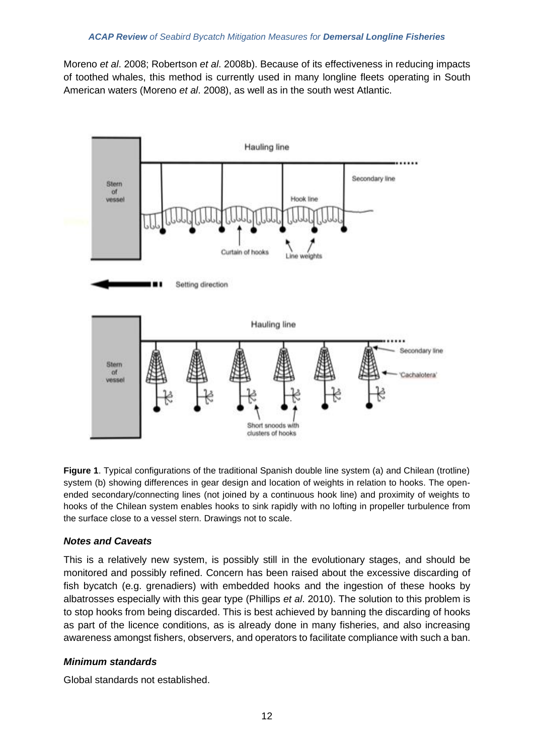Moreno *et al*. 2008; Robertson *et al*. 2008b). Because of its effectiveness in reducing impacts of toothed whales, this method is currently used in many longline fleets operating in South American waters (Moreno *et al*. 2008), as well as in the south west Atlantic.



**Figure 1**. Typical configurations of the traditional Spanish double line system (a) and Chilean (trotline) system (b) showing differences in gear design and location of weights in relation to hooks. The openended secondary/connecting lines (not joined by a continuous hook line) and proximity of weights to hooks of the Chilean system enables hooks to sink rapidly with no lofting in propeller turbulence from the surface close to a vessel stern. Drawings not to scale.

## *Notes and Caveats*

This is a relatively new system, is possibly still in the evolutionary stages, and should be monitored and possibly refined. Concern has been raised about the excessive discarding of fish bycatch (e.g. grenadiers) with embedded hooks and the ingestion of these hooks by albatrosses especially with this gear type (Phillips *et al*. 2010). The solution to this problem is to stop hooks from being discarded. This is best achieved by banning the discarding of hooks as part of the licence conditions, as is already done in many fisheries, and also increasing awareness amongst fishers, observers, and operators to facilitate compliance with such a ban.

## *Minimum standards*

Global standards not established.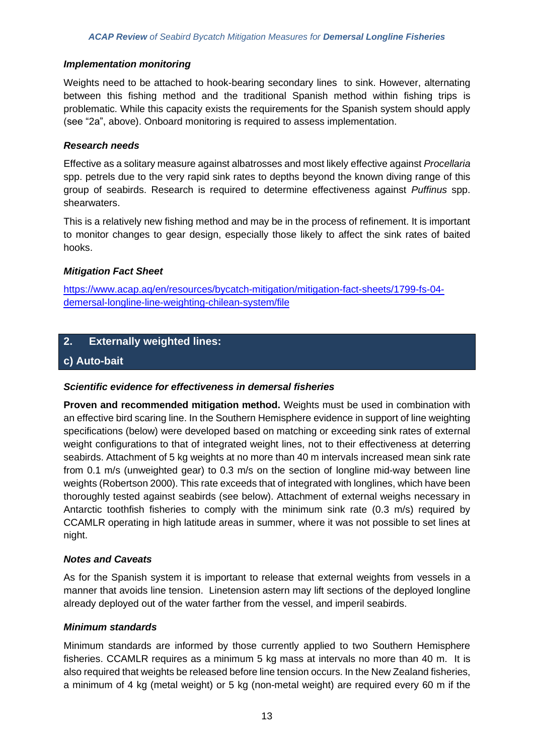#### *Implementation monitoring*

Weights need to be attached to hook-bearing secondary lines to sink. However, alternating between this fishing method and the traditional Spanish method within fishing trips is problematic. While this capacity exists the requirements for the Spanish system should apply (see "2a", above). Onboard monitoring is required to assess implementation.

#### *Research needs*

Effective as a solitary measure against albatrosses and most likely effective against *Procellaria* spp. petrels due to the very rapid sink rates to depths beyond the known diving range of this group of seabirds. Research is required to determine effectiveness against *Puffinus* spp. shearwaters.

This is a relatively new fishing method and may be in the process of refinement. It is important to monitor changes to gear design, especially those likely to affect the sink rates of baited hooks.

## *Mitigation Fact Sheet*

[https://www.acap.aq/en/resources/bycatch-mitigation/mitigation-fact-sheets/1799-fs-04](https://www.acap.aq/en/resources/bycatch-mitigation/mitigation-fact-sheets/1799-fs-04-demersal-longline-line-weighting-chilean-system/file) [demersal-longline-line-weighting-chilean-system/file](https://www.acap.aq/en/resources/bycatch-mitigation/mitigation-fact-sheets/1799-fs-04-demersal-longline-line-weighting-chilean-system/file)

## **2. Externally weighted lines:**

## **c) Auto-bait**

## *Scientific evidence for effectiveness in demersal fisheries*

**Proven and recommended mitigation method.** Weights must be used in combination with an effective bird scaring line. In the Southern Hemisphere evidence in support of line weighting specifications (below) were developed based on matching or exceeding sink rates of external weight configurations to that of integrated weight lines, not to their effectiveness at deterring seabirds. Attachment of 5 kg weights at no more than 40 m intervals increased mean sink rate from 0.1 m/s (unweighted gear) to 0.3 m/s on the section of longline mid-way between line weights (Robertson 2000). This rate exceeds that of integrated with longlines, which have been thoroughly tested against seabirds (see below). Attachment of external weighs necessary in Antarctic toothfish fisheries to comply with the minimum sink rate (0.3 m/s) required by CCAMLR operating in high latitude areas in summer, where it was not possible to set lines at night.

#### *Notes and Caveats*

As for the Spanish system it is important to release that external weights from vessels in a manner that avoids line tension. Linetension astern may lift sections of the deployed longline already deployed out of the water farther from the vessel, and imperil seabirds.

#### *Minimum standards*

Minimum standards are informed by those currently applied to two Southern Hemisphere fisheries. CCAMLR requires as a minimum 5 kg mass at intervals no more than 40 m. It is also required that weights be released before line tension occurs. In the New Zealand fisheries, a minimum of 4 kg (metal weight) or 5 kg (non-metal weight) are required every 60 m if the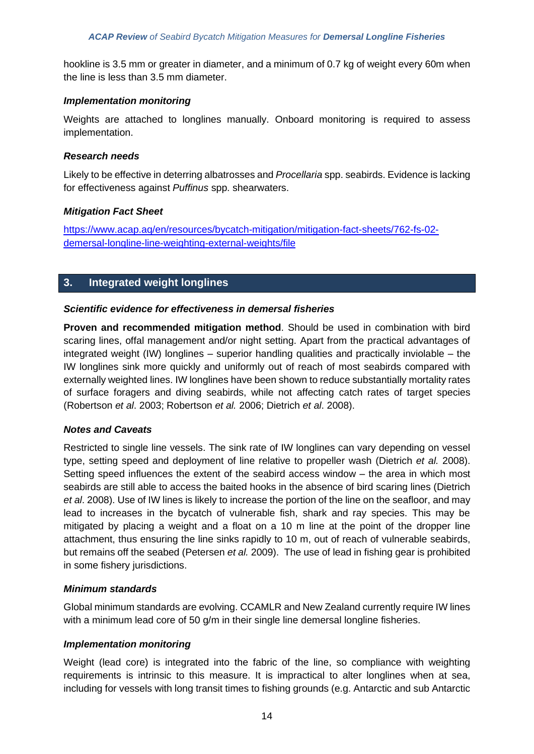hookline is 3.5 mm or greater in diameter, and a minimum of 0.7 kg of weight every 60m when the line is less than 3.5 mm diameter.

#### *Implementation monitoring*

Weights are attached to longlines manually. Onboard monitoring is required to assess implementation.

#### *Research needs*

Likely to be effective in deterring albatrosses and *Procellaria* spp. seabirds. Evidence is lacking for effectiveness against *Puffinus* spp. shearwaters.

#### *Mitigation Fact Sheet*

[https://www.acap.aq/en/resources/bycatch-mitigation/mitigation-fact-sheets/762-fs-02](https://www.acap.aq/en/resources/bycatch-mitigation/mitigation-fact-sheets/762-fs-02-demersal-longline-line-weighting-external-weights/file) [demersal-longline-line-weighting-external-weights/file](https://www.acap.aq/en/resources/bycatch-mitigation/mitigation-fact-sheets/762-fs-02-demersal-longline-line-weighting-external-weights/file)

## **3. Integrated weight longlines**

#### *Scientific evidence for effectiveness in demersal fisheries*

**Proven and recommended mitigation method**. Should be used in combination with bird scaring lines, offal management and/or night setting. Apart from the practical advantages of integrated weight (IW) longlines – superior handling qualities and practically inviolable – the IW longlines sink more quickly and uniformly out of reach of most seabirds compared with externally weighted lines. IW longlines have been shown to reduce substantially mortality rates of surface foragers and diving seabirds, while not affecting catch rates of target species (Robertson *et al*. 2003; Robertson *et al.* 2006; Dietrich *et al*. 2008).

## *Notes and Caveats*

Restricted to single line vessels. The sink rate of IW longlines can vary depending on vessel type, setting speed and deployment of line relative to propeller wash (Dietrich *et al.* 2008). Setting speed influences the extent of the seabird access window – the area in which most seabirds are still able to access the baited hooks in the absence of bird scaring lines (Dietrich *et al*. 2008). Use of IW lines is likely to increase the portion of the line on the seafloor, and may lead to increases in the bycatch of vulnerable fish, shark and ray species. This may be mitigated by placing a weight and a float on a 10 m line at the point of the dropper line attachment, thus ensuring the line sinks rapidly to 10 m, out of reach of vulnerable seabirds, but remains off the seabed (Petersen *et al.* 2009). The use of lead in fishing gear is prohibited in some fishery jurisdictions.

#### *Minimum standards*

Global minimum standards are evolving. CCAMLR and New Zealand currently require IW lines with a minimum lead core of 50 g/m in their single line demersal longline fisheries.

#### *Implementation monitoring*

Weight (lead core) is integrated into the fabric of the line, so compliance with weighting requirements is intrinsic to this measure. It is impractical to alter longlines when at sea, including for vessels with long transit times to fishing grounds (e.g. Antarctic and sub Antarctic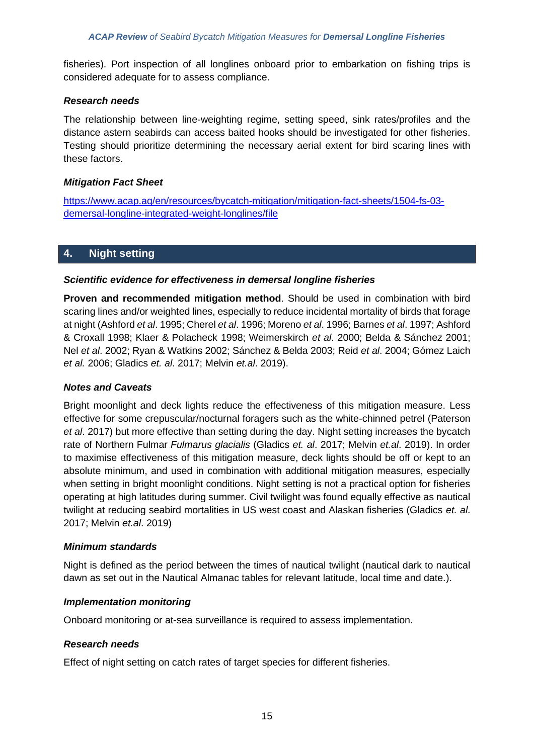fisheries). Port inspection of all longlines onboard prior to embarkation on fishing trips is considered adequate for to assess compliance.

#### *Research needs*

The relationship between line-weighting regime, setting speed, sink rates/profiles and the distance astern seabirds can access baited hooks should be investigated for other fisheries. Testing should prioritize determining the necessary aerial extent for bird scaring lines with these factors.

#### *Mitigation Fact Sheet*

[https://www.acap.aq/en/resources/bycatch-mitigation/mitigation-fact-sheets/1504-fs-03](https://www.acap.aq/en/resources/bycatch-mitigation/mitigation-fact-sheets/1504-fs-03-demersal-longline-integrated-weight-longlines/file) [demersal-longline-integrated-weight-longlines/file](https://www.acap.aq/en/resources/bycatch-mitigation/mitigation-fact-sheets/1504-fs-03-demersal-longline-integrated-weight-longlines/file)

## **4. Night setting**

#### *Scientific evidence for effectiveness in demersal longline fisheries*

**Proven and recommended mitigation method**. Should be used in combination with bird scaring lines and/or weighted lines, especially to reduce incidental mortality of birds that forage at night (Ashford *et al*. 1995; Cherel *et al*. 1996; Moreno *et al*. 1996; Barnes *et al*. 1997; Ashford & Croxall 1998; Klaer & Polacheck 1998; Weimerskirch *et al*. 2000; Belda & Sánchez 2001; Nel *et al*. 2002; Ryan & Watkins 2002; Sánchez & Belda 2003; Reid *et al*. 2004; Gómez Laich *et al.* 2006; Gladics *et. al*. 2017; Melvin *et.al*. 2019).

#### *Notes and Caveats*

Bright moonlight and deck lights reduce the effectiveness of this mitigation measure. Less effective for some crepuscular/nocturnal foragers such as the white-chinned petrel (Paterson *et al*. 2017) but more effective than setting during the day. Night setting increases the bycatch rate of Northern Fulmar *Fulmarus glacialis* (Gladics *et. al*. 2017; Melvin *et.al*. 2019). In order to maximise effectiveness of this mitigation measure, deck lights should be off or kept to an absolute minimum, and used in combination with additional mitigation measures, especially when setting in bright moonlight conditions. Night setting is not a practical option for fisheries operating at high latitudes during summer. Civil twilight was found equally effective as nautical twilight at reducing seabird mortalities in US west coast and Alaskan fisheries (Gladics *et. al*. 2017; Melvin *et.al*. 2019)

#### *Minimum standards*

Night is defined as the period between the times of nautical twilight (nautical dark to nautical dawn as set out in the Nautical Almanac tables for relevant latitude, local time and date.).

## *Implementation monitoring*

Onboard monitoring or at-sea surveillance is required to assess implementation.

## *Research needs*

Effect of night setting on catch rates of target species for different fisheries.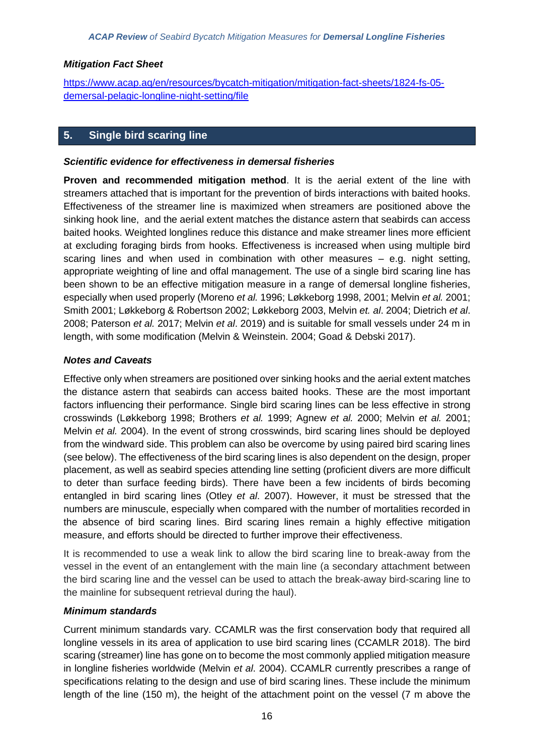## *Mitigation Fact Sheet*

[https://www.acap.aq/en/resources/bycatch-mitigation/mitigation-fact-sheets/1824-fs-05](https://www.acap.aq/en/resources/bycatch-mitigation/mitigation-fact-sheets/1824-fs-05-demersal-pelagic-longline-night-setting/file) [demersal-pelagic-longline-night-setting/file](https://www.acap.aq/en/resources/bycatch-mitigation/mitigation-fact-sheets/1824-fs-05-demersal-pelagic-longline-night-setting/file)

## **5. Single bird scaring line**

#### *Scientific evidence for effectiveness in demersal fisheries*

**Proven and recommended mitigation method**. It is the aerial extent of the line with streamers attached that is important for the prevention of birds interactions with baited hooks. Effectiveness of the streamer line is maximized when streamers are positioned above the sinking hook line, and the aerial extent matches the distance astern that seabirds can access baited hooks. Weighted longlines reduce this distance and make streamer lines more efficient at excluding foraging birds from hooks. Effectiveness is increased when using multiple bird scaring lines and when used in combination with other measures – e.g. night setting, appropriate weighting of line and offal management. The use of a single bird scaring line has been shown to be an effective mitigation measure in a range of demersal longline fisheries, especially when used properly (Moreno *et al.* 1996; Løkkeborg 1998, 2001; Melvin *et al.* 2001; Smith 2001; Løkkeborg & Robertson 2002; Løkkeborg 2003, Melvin *et. al*. 2004; Dietrich *et al*. 2008; Paterson *et al.* 2017; Melvin *et al*. 2019) and is suitable for small vessels under 24 m in length, with some modification (Melvin & Weinstein. 2004; Goad & Debski 2017).

## *Notes and Caveats*

Effective only when streamers are positioned over sinking hooks and the aerial extent matches the distance astern that seabirds can access baited hooks. These are the most important factors influencing their performance. Single bird scaring lines can be less effective in strong crosswinds (Løkkeborg 1998; Brothers *et al.* 1999; Agnew *et al.* 2000; Melvin *et al.* 2001; Melvin *et al.* 2004). In the event of strong crosswinds, bird scaring lines should be deployed from the windward side. This problem can also be overcome by using paired bird scaring lines (see below). The effectiveness of the bird scaring lines is also dependent on the design, proper placement, as well as seabird species attending line setting (proficient divers are more difficult to deter than surface feeding birds). There have been a few incidents of birds becoming entangled in bird scaring lines (Otley *et al*. 2007). However, it must be stressed that the numbers are minuscule, especially when compared with the number of mortalities recorded in the absence of bird scaring lines. Bird scaring lines remain a highly effective mitigation measure, and efforts should be directed to further improve their effectiveness.

It is recommended to use a weak link to allow the bird scaring line to break-away from the vessel in the event of an entanglement with the main line (a secondary attachment between the bird scaring line and the vessel can be used to attach the break-away bird-scaring line to the mainline for subsequent retrieval during the haul).

## *Minimum standards*

Current minimum standards vary. CCAMLR was the first conservation body that required all longline vessels in its area of application to use bird scaring lines (CCAMLR 2018). The bird scaring (streamer) line has gone on to become the most commonly applied mitigation measure in longline fisheries worldwide (Melvin *et al*. 2004). CCAMLR currently prescribes a range of specifications relating to the design and use of bird scaring lines. These include the minimum length of the line (150 m), the height of the attachment point on the vessel (7 m above the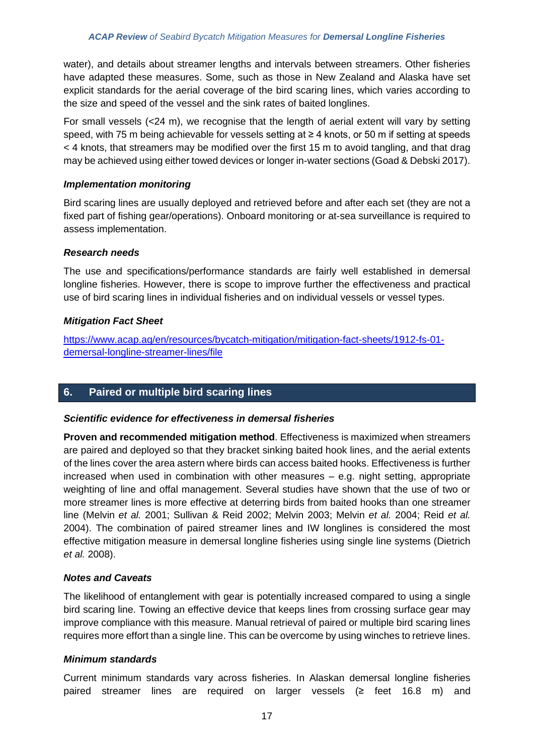water), and details about streamer lengths and intervals between streamers. Other fisheries have adapted these measures. Some, such as those in New Zealand and Alaska have set explicit standards for the aerial coverage of the bird scaring lines, which varies according to the size and speed of the vessel and the sink rates of baited longlines.

For small vessels (<24 m), we recognise that the length of aerial extent will vary by setting speed, with 75 m being achievable for vessels setting at ≥ 4 knots, or 50 m if setting at speeds < 4 knots, that streamers may be modified over the first 15 m to avoid tangling, and that drag may be achieved using either towed devices or longer in-water sections (Goad & Debski 2017).

## *Implementation monitoring*

Bird scaring lines are usually deployed and retrieved before and after each set (they are not a fixed part of fishing gear/operations). Onboard monitoring or at-sea surveillance is required to assess implementation.

## *Research needs*

The use and specifications/performance standards are fairly well established in demersal longline fisheries. However, there is scope to improve further the effectiveness and practical use of bird scaring lines in individual fisheries and on individual vessels or vessel types.

## *Mitigation Fact Sheet*

[https://www.acap.aq/en/resources/bycatch-mitigation/mitigation-fact-sheets/1912-fs-01](https://www.acap.aq/en/resources/bycatch-mitigation/mitigation-fact-sheets/1912-fs-01-demersal-longline-streamer-lines/file) [demersal-longline-streamer-lines/file](https://www.acap.aq/en/resources/bycatch-mitigation/mitigation-fact-sheets/1912-fs-01-demersal-longline-streamer-lines/file)

# **6. Paired or multiple bird scaring lines**

## *Scientific evidence for effectiveness in demersal fisheries*

**Proven and recommended mitigation method**. Effectiveness is maximized when streamers are paired and deployed so that they bracket sinking baited hook lines, and the aerial extents of the lines cover the area astern where birds can access baited hooks. Effectiveness is further increased when used in combination with other measures  $-$  e.g. night setting, appropriate weighting of line and offal management. Several studies have shown that the use of two or more streamer lines is more effective at deterring birds from baited hooks than one streamer line (Melvin *et al.* 2001; Sullivan & Reid 2002; Melvin 2003; Melvin *et al.* 2004; Reid *et al.* 2004). The combination of paired streamer lines and IW longlines is considered the most effective mitigation measure in demersal longline fisheries using single line systems (Dietrich *et al.* 2008).

## *Notes and Caveats*

The likelihood of entanglement with gear is potentially increased compared to using a single bird scaring line. Towing an effective device that keeps lines from crossing surface gear may improve compliance with this measure. Manual retrieval of paired or multiple bird scaring lines requires more effort than a single line. This can be overcome by using winches to retrieve lines.

## *Minimum standards*

Current minimum standards vary across fisheries. In Alaskan demersal longline fisheries paired streamer lines are required on larger vessels (≥ feet 16.8 m) and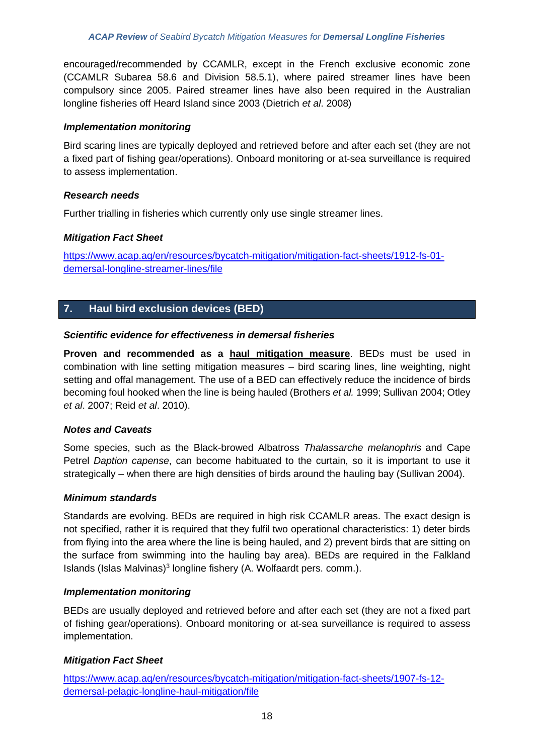encouraged/recommended by CCAMLR, except in the French exclusive economic zone (CCAMLR Subarea 58.6 and Division 58.5.1), where paired streamer lines have been compulsory since 2005. Paired streamer lines have also been required in the Australian longline fisheries off Heard Island since 2003 (Dietrich *et al*. 2008)

## *Implementation monitoring*

Bird scaring lines are typically deployed and retrieved before and after each set (they are not a fixed part of fishing gear/operations). Onboard monitoring or at-sea surveillance is required to assess implementation.

## *Research needs*

Further trialling in fisheries which currently only use single streamer lines.

## *Mitigation Fact Sheet*

[https://www.acap.aq/en/resources/bycatch-mitigation/mitigation-fact-sheets/1912-fs-01](https://www.acap.aq/en/resources/bycatch-mitigation/mitigation-fact-sheets/1912-fs-01-demersal-longline-streamer-lines/file) [demersal-longline-streamer-lines/file](https://www.acap.aq/en/resources/bycatch-mitigation/mitigation-fact-sheets/1912-fs-01-demersal-longline-streamer-lines/file)

# **7. Haul bird exclusion devices (BED)**

## *Scientific evidence for effectiveness in demersal fisheries*

**Proven and recommended as a haul mitigation measure**. BEDs must be used in combination with line setting mitigation measures – bird scaring lines, line weighting, night setting and offal management. The use of a BED can effectively reduce the incidence of birds becoming foul hooked when the line is being hauled (Brothers *et al.* 1999; Sullivan 2004; Otley *et al*. 2007; Reid *et al*. 2010).

## *Notes and Caveats*

Some species, such as the Black-browed Albatross *Thalassarche melanophris* and Cape Petrel *Daption capense*, can become habituated to the curtain, so it is important to use it strategically – when there are high densities of birds around the hauling bay (Sullivan 2004).

## *Minimum standards*

Standards are evolving. BEDs are required in high risk CCAMLR areas. The exact design is not specified, rather it is required that they fulfil two operational characteristics: 1) deter birds from flying into the area where the line is being hauled, and 2) prevent birds that are sitting on the surface from swimming into the hauling bay area). BEDs are required in the Falkland Islands (Islas Malvinas)<sup>3</sup> longline fishery (A. Wolfaardt pers. comm.).

## *Implementation monitoring*

BEDs are usually deployed and retrieved before and after each set (they are not a fixed part of fishing gear/operations). Onboard monitoring or at-sea surveillance is required to assess implementation.

## *Mitigation Fact Sheet*

[https://www.acap.aq/en/resources/bycatch-mitigation/mitigation-fact-sheets/1907-fs-12](https://www.acap.aq/en/resources/bycatch-mitigation/mitigation-fact-sheets/1907-fs-12-demersal-pelagic-longline-haul-mitigation/file) [demersal-pelagic-longline-haul-mitigation/file](https://www.acap.aq/en/resources/bycatch-mitigation/mitigation-fact-sheets/1907-fs-12-demersal-pelagic-longline-haul-mitigation/file)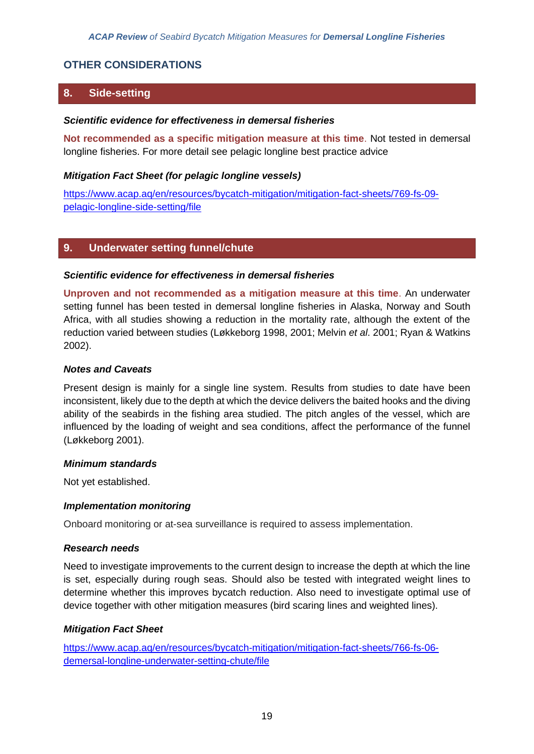## **OTHER CONSIDERATIONS**

## **8. Side-setting**

#### *Scientific evidence for effectiveness in demersal fisheries*

**Not recommended as a specific mitigation measure at this time**. Not tested in demersal longline fisheries. For more detail see pelagic longline best practice advice

#### *Mitigation Fact Sheet (for pelagic longline vessels)*

[https://www.acap.aq/en/resources/bycatch-mitigation/mitigation-fact-sheets/769-fs-09](https://www.acap.aq/en/resources/bycatch-mitigation/mitigation-fact-sheets/769-fs-09-pelagic-longline-side-setting/file) [pelagic-longline-side-setting/file](https://www.acap.aq/en/resources/bycatch-mitigation/mitigation-fact-sheets/769-fs-09-pelagic-longline-side-setting/file)

## **9. Underwater setting funnel/chute**

#### *Scientific evidence for effectiveness in demersal fisheries*

**Unproven and not recommended as a mitigation measure at this time**. An underwater setting funnel has been tested in demersal longline fisheries in Alaska, Norway and South Africa, with all studies showing a reduction in the mortality rate, although the extent of the reduction varied between studies (Løkkeborg 1998, 2001; Melvin *et al*. 2001; Ryan & Watkins 2002).

## *Notes and Caveats*

Present design is mainly for a single line system. Results from studies to date have been inconsistent, likely due to the depth at which the device delivers the baited hooks and the diving ability of the seabirds in the fishing area studied. The pitch angles of the vessel, which are influenced by the loading of weight and sea conditions, affect the performance of the funnel (Løkkeborg 2001).

#### *Minimum standards*

Not yet established.

#### *Implementation monitoring*

Onboard monitoring or at-sea surveillance is required to assess implementation.

## *Research needs*

Need to investigate improvements to the current design to increase the depth at which the line is set, especially during rough seas. Should also be tested with integrated weight lines to determine whether this improves bycatch reduction. Also need to investigate optimal use of device together with other mitigation measures (bird scaring lines and weighted lines).

#### *Mitigation Fact Sheet*

[https://www.acap.aq/en/resources/bycatch-mitigation/mitigation-fact-sheets/766-fs-06](https://www.acap.aq/en/resources/bycatch-mitigation/mitigation-fact-sheets/766-fs-06-demersal-longline-underwater-setting-chute/file) [demersal-longline-underwater-setting-chute/file](https://www.acap.aq/en/resources/bycatch-mitigation/mitigation-fact-sheets/766-fs-06-demersal-longline-underwater-setting-chute/file)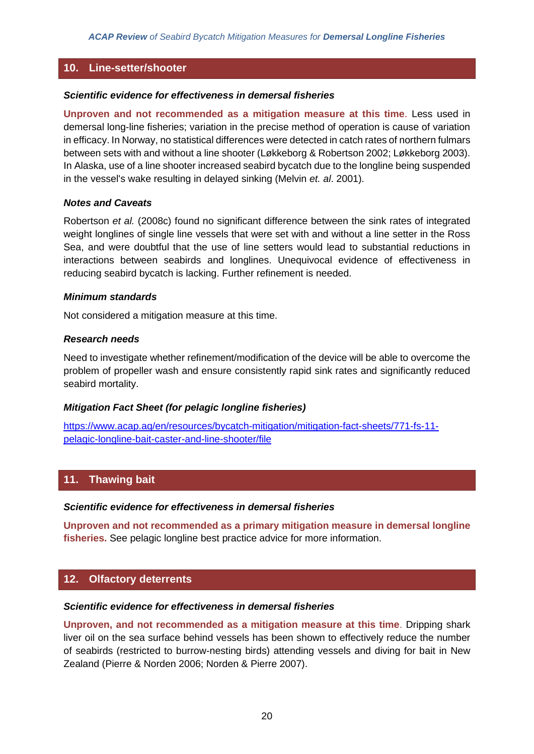## **10. Line-setter/shooter**

#### *Scientific evidence for effectiveness in demersal fisheries*

**Unproven and not recommended as a mitigation measure at this time**. Less used in demersal long-line fisheries; variation in the precise method of operation is cause of variation in efficacy. In Norway, no statistical differences were detected in catch rates of northern fulmars between sets with and without a line shooter (Løkkeborg & Robertson 2002; Løkkeborg 2003). In Alaska, use of a line shooter increased seabird bycatch due to the longline being suspended in the vessel's wake resulting in delayed sinking (Melvin *et. al*. 2001).

#### *Notes and Caveats*

Robertson *et al.* (2008c) found no significant difference between the sink rates of integrated weight longlines of single line vessels that were set with and without a line setter in the Ross Sea, and were doubtful that the use of line setters would lead to substantial reductions in interactions between seabirds and longlines. Unequivocal evidence of effectiveness in reducing seabird bycatch is lacking. Further refinement is needed.

#### *Minimum standards*

Not considered a mitigation measure at this time.

#### *Research needs*

Need to investigate whether refinement/modification of the device will be able to overcome the problem of propeller wash and ensure consistently rapid sink rates and significantly reduced seabird mortality.

## *Mitigation Fact Sheet (for pelagic longline fisheries)*

[https://www.acap.aq/en/resources/bycatch-mitigation/mitigation-fact-sheets/771-fs-11](https://www.acap.aq/en/resources/bycatch-mitigation/mitigation-fact-sheets/771-fs-11-pelagic-longline-bait-caster-and-line-shooter/file) [pelagic-longline-bait-caster-and-line-shooter/file](https://www.acap.aq/en/resources/bycatch-mitigation/mitigation-fact-sheets/771-fs-11-pelagic-longline-bait-caster-and-line-shooter/file)

## **11. Thawing bait**

## *Scientific evidence for effectiveness in demersal fisheries*

**Unproven and not recommended as a primary mitigation measure in demersal longline fisheries.** See pelagic longline best practice advice for more information.

## **12. Olfactory deterrents**

#### *Scientific evidence for effectiveness in demersal fisheries*

**Unproven, and not recommended as a mitigation measure at this time**. Dripping shark liver oil on the sea surface behind vessels has been shown to effectively reduce the number of seabirds (restricted to burrow-nesting birds) attending vessels and diving for bait in New Zealand (Pierre & Norden 2006; Norden & Pierre 2007).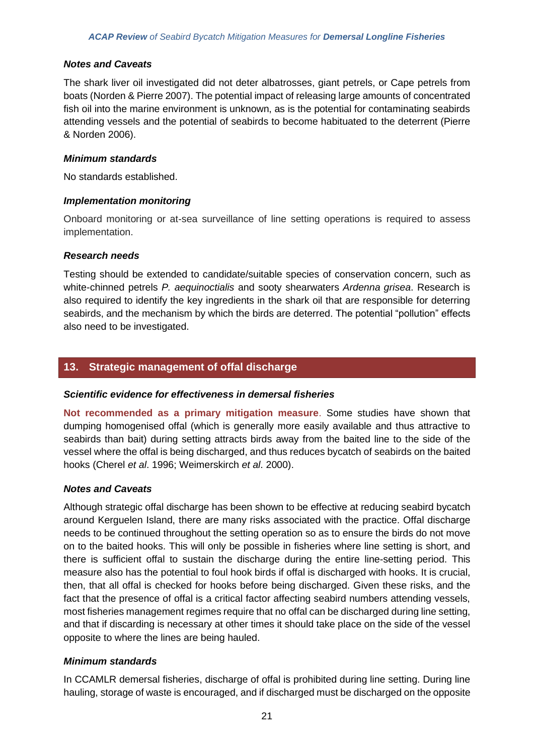#### *Notes and Caveats*

The shark liver oil investigated did not deter albatrosses, giant petrels, or Cape petrels from boats (Norden & Pierre 2007). The potential impact of releasing large amounts of concentrated fish oil into the marine environment is unknown, as is the potential for contaminating seabirds attending vessels and the potential of seabirds to become habituated to the deterrent (Pierre & Norden 2006).

#### *Minimum standards*

No standards established.

#### *Implementation monitoring*

Onboard monitoring or at-sea surveillance of line setting operations is required to assess implementation.

#### *Research needs*

Testing should be extended to candidate/suitable species of conservation concern, such as white-chinned petrels *P. aequinoctialis* and sooty shearwaters *Ardenna grisea*. Research is also required to identify the key ingredients in the shark oil that are responsible for deterring seabirds, and the mechanism by which the birds are deterred. The potential "pollution" effects also need to be investigated.

## **13. Strategic management of offal discharge**

## *Scientific evidence for effectiveness in demersal fisheries*

**Not recommended as a primary mitigation measure**. Some studies have shown that dumping homogenised offal (which is generally more easily available and thus attractive to seabirds than bait) during setting attracts birds away from the baited line to the side of the vessel where the offal is being discharged, and thus reduces bycatch of seabirds on the baited hooks (Cherel *et al*. 1996; Weimerskirch *et al*. 2000).

## *Notes and Caveats*

Although strategic offal discharge has been shown to be effective at reducing seabird bycatch around Kerguelen Island, there are many risks associated with the practice. Offal discharge needs to be continued throughout the setting operation so as to ensure the birds do not move on to the baited hooks. This will only be possible in fisheries where line setting is short, and there is sufficient offal to sustain the discharge during the entire line-setting period. This measure also has the potential to foul hook birds if offal is discharged with hooks. It is crucial, then, that all offal is checked for hooks before being discharged. Given these risks, and the fact that the presence of offal is a critical factor affecting seabird numbers attending vessels, most fisheries management regimes require that no offal can be discharged during line setting, and that if discarding is necessary at other times it should take place on the side of the vessel opposite to where the lines are being hauled.

## *Minimum standards*

In CCAMLR demersal fisheries, discharge of offal is prohibited during line setting. During line hauling, storage of waste is encouraged, and if discharged must be discharged on the opposite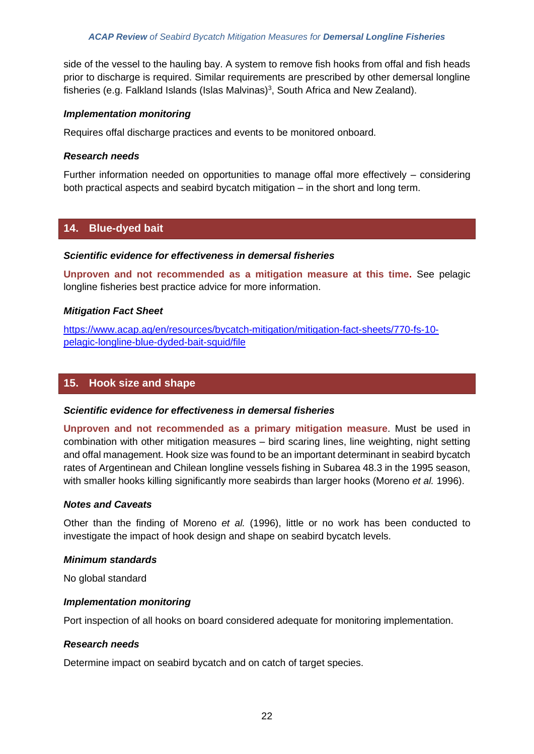side of the vessel to the hauling bay. A system to remove fish hooks from offal and fish heads prior to discharge is required. Similar requirements are prescribed by other demersal longline fisheries (e.g. Falkland Islands (Islas Malvinas)<sup>3</sup>, South Africa and New Zealand).

## *Implementation monitoring*

Requires offal discharge practices and events to be monitored onboard.

## *Research needs*

Further information needed on opportunities to manage offal more effectively – considering both practical aspects and seabird bycatch mitigation – in the short and long term.

## **14. Blue-dyed bait**

## *Scientific evidence for effectiveness in demersal fisheries*

**Unproven and not recommended as a mitigation measure at this time.** See pelagic longline fisheries best practice advice for more information.

## *Mitigation Fact Sheet*

[https://www.acap.aq/en/resources/bycatch-mitigation/mitigation-fact-sheets/770-fs-10](https://www.acap.aq/en/resources/bycatch-mitigation/mitigation-fact-sheets/770-fs-10-pelagic-longline-blue-dyded-bait-squid/file) [pelagic-longline-blue-dyded-bait-squid/file](https://www.acap.aq/en/resources/bycatch-mitigation/mitigation-fact-sheets/770-fs-10-pelagic-longline-blue-dyded-bait-squid/file)

# **15. Hook size and shape**

## *Scientific evidence for effectiveness in demersal fisheries*

**Unproven and not recommended as a primary mitigation measure**. Must be used in combination with other mitigation measures – bird scaring lines, line weighting, night setting and offal management. Hook size was found to be an important determinant in seabird bycatch rates of Argentinean and Chilean longline vessels fishing in Subarea 48.3 in the 1995 season, with smaller hooks killing significantly more seabirds than larger hooks (Moreno *et al.* 1996).

## *Notes and Caveats*

Other than the finding of Moreno *et al.* (1996), little or no work has been conducted to investigate the impact of hook design and shape on seabird bycatch levels.

## *Minimum standards*

No global standard

## *Implementation monitoring*

Port inspection of all hooks on board considered adequate for monitoring implementation.

## *Research needs*

Determine impact on seabird bycatch and on catch of target species.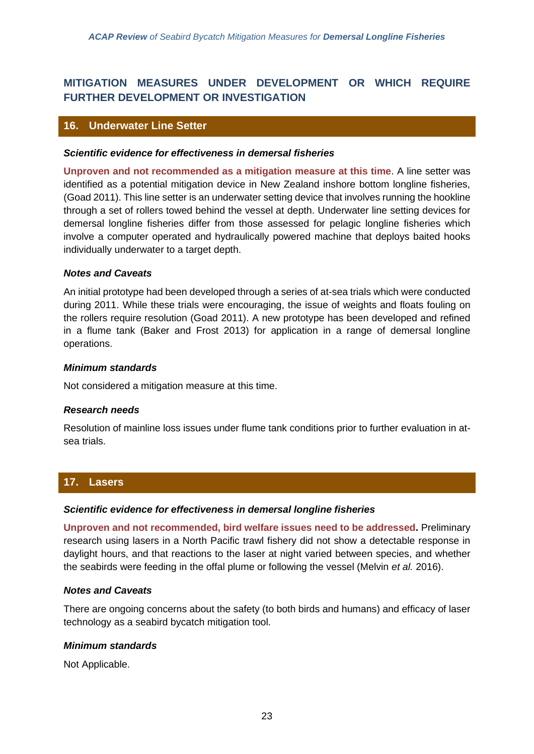# **MITIGATION MEASURES UNDER DEVELOPMENT OR WHICH REQUIRE FURTHER DEVELOPMENT OR INVESTIGATION**

## **16. Underwater Line Setter**

#### *Scientific evidence for effectiveness in demersal fisheries*

**Unproven and not recommended as a mitigation measure at this time**. A line setter was identified as a potential mitigation device in New Zealand inshore bottom longline fisheries, (Goad 2011). This line setter is an underwater setting device that involves running the hookline through a set of rollers towed behind the vessel at depth. Underwater line setting devices for demersal longline fisheries differ from those assessed for pelagic longline fisheries which involve a computer operated and hydraulically powered machine that deploys baited hooks individually underwater to a target depth.

#### *Notes and Caveats*

An initial prototype had been developed through a series of at-sea trials which were conducted during 2011. While these trials were encouraging, the issue of weights and floats fouling on the rollers require resolution (Goad 2011). A new prototype has been developed and refined in a flume tank (Baker and Frost 2013) for application in a range of demersal longline operations.

#### *Minimum standards*

Not considered a mitigation measure at this time.

#### *Research needs*

Resolution of mainline loss issues under flume tank conditions prior to further evaluation in atsea trials.

## **17. Lasers**

#### *Scientific evidence for effectiveness in demersal longline fisheries*

**Unproven and not recommended, bird welfare issues need to be addressed.** Preliminary research using lasers in a North Pacific trawl fishery did not show a detectable response in daylight hours, and that reactions to the laser at night varied between species, and whether the seabirds were feeding in the offal plume or following the vessel (Melvin *et al.* 2016).

## *Notes and Caveats*

There are ongoing concerns about the safety (to both birds and humans) and efficacy of laser technology as a seabird bycatch mitigation tool.

## *Minimum standards*

Not Applicable.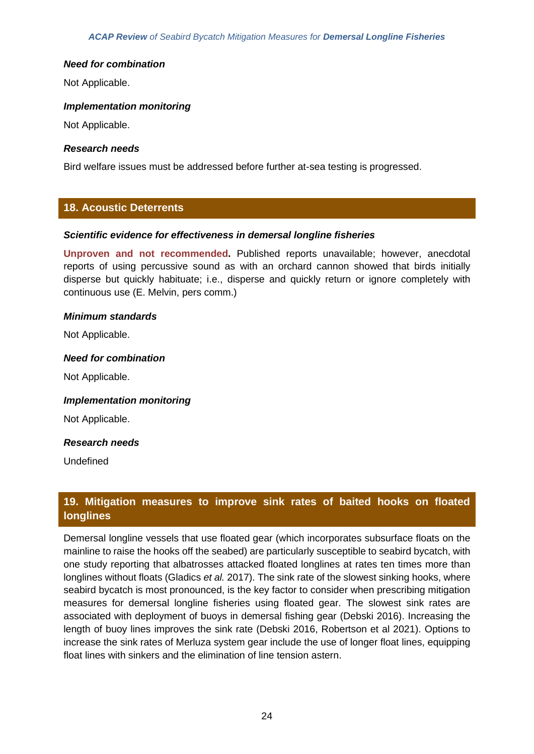#### *Need for combination*

Not Applicable.

#### *Implementation monitoring*

Not Applicable.

#### *Research needs*

Bird welfare issues must be addressed before further at-sea testing is progressed.

## **18. Acoustic Deterrents**

#### *Scientific evidence for effectiveness in demersal longline fisheries*

**Unproven and not recommended.** Published reports unavailable; however, anecdotal reports of using percussive sound as with an orchard cannon showed that birds initially disperse but quickly habituate; i.e., disperse and quickly return or ignore completely with continuous use (E. Melvin, pers comm.)

#### *Minimum standards*

Not Applicable.

#### *Need for combination*

Not Applicable.

#### *Implementation monitoring*

Not Applicable.

## *Research needs*

Undefined

# **19. Mitigation measures to improve sink rates of baited hooks on floated longlines**

Demersal longline vessels that use floated gear (which incorporates subsurface floats on the mainline to raise the hooks off the seabed) are particularly susceptible to seabird bycatch, with one study reporting that albatrosses attacked floated longlines at rates ten times more than longlines without floats (Gladics *et al.* 2017). The sink rate of the slowest sinking hooks, where seabird bycatch is most pronounced, is the key factor to consider when prescribing mitigation measures for demersal longline fisheries using floated gear. The slowest sink rates are associated with deployment of buoys in demersal fishing gear (Debski 2016). Increasing the length of buoy lines improves the sink rate (Debski 2016, Robertson et al 2021). Options to increase the sink rates of Merluza system gear include the use of longer float lines, equipping float lines with sinkers and the elimination of line tension astern.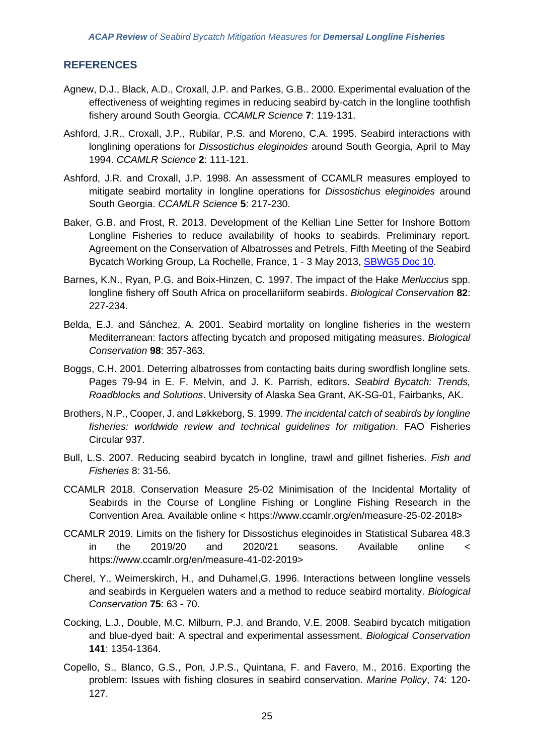## **REFERENCES**

- Agnew, D.J., Black, A.D., Croxall, J.P. and Parkes, G.B.. 2000. Experimental evaluation of the effectiveness of weighting regimes in reducing seabird by-catch in the longline toothfish fishery around South Georgia. *CCAMLR Science* **7**: 119-131.
- Ashford, J.R., Croxall, J.P., Rubilar, P.S. and Moreno, C.A. 1995. Seabird interactions with longlining operations for *Dissostichus eleginoides* around South Georgia, April to May 1994. *CCAMLR Science* **2**: 111-121.
- Ashford, J.R. and Croxall, J.P. 1998. An assessment of CCAMLR measures employed to mitigate seabird mortality in longline operations for *Dissostichus eleginoides* around South Georgia. *CCAMLR Science* **5**: 217-230.
- Baker, G.B. and Frost, R. 2013. Development of the Kellian Line Setter for Inshore Bottom Longline Fisheries to reduce availability of hooks to seabirds. Preliminary report. Agreement on the Conservation of Albatrosses and Petrels, Fifth Meeting of the Seabird Bycatch Working Group, La Rochelle, France, 1 - 3 May 2013, [SBWG5 Doc 10.](https://acap.aq/en/working-groups/seabird-bycatch-working-group/seabird-bycatch-wg-meeting-5/2038-sbwg5-doc-10-development-of-the-kellian-line-setter-for-inshore-bottom-longline-fisheries-to-reduce-availability-of-hooks-to-seabirds-preliminary-report/file)
- Barnes, K.N., Ryan, P.G. and Boix-Hinzen, C. 1997. The impact of the Hake *Merluccius* spp. longline fishery off South Africa on procellariiform seabirds. *Biological Conservation* **82**: 227-234.
- Belda, E.J. and Sánchez, A. 2001. Seabird mortality on longline fisheries in the western Mediterranean: factors affecting bycatch and proposed mitigating measures. *Biological Conservation* **98**: 357-363.
- Boggs, C.H. 2001. Deterring albatrosses from contacting baits during swordfish longline sets. Pages 79-94 in E. F. Melvin, and J. K. Parrish, editors. *Seabird Bycatch: Trends, Roadblocks and Solutions*. University of Alaska Sea Grant, AK-SG-01, Fairbanks, AK.
- Brothers, N.P., Cooper, J. and Løkkeborg, S. 1999. *The incidental catch of seabirds by longline fisheries: worldwide review and technical guidelines for mitigation*. FAO Fisheries Circular 937.
- Bull, L.S. 2007. Reducing seabird bycatch in longline, trawl and gillnet fisheries. *Fish and Fisheries* 8: 31-56.
- CCAMLR 2018. Conservation Measure 25-02 Minimisation of the Incidental Mortality of Seabirds in the Course of Longline Fishing or Longline Fishing Research in the Convention Area. Available online < https://www.ccamlr.org/en/measure-25-02-2018>
- CCAMLR 2019. Limits on the fishery for Dissostichus eleginoides in Statistical Subarea 48.3 in the 2019/20 and 2020/21 seasons. Available online < https://www.ccamlr.org/en/measure-41-02-2019>
- Cherel, Y., Weimerskirch, H., and Duhamel,G. 1996. Interactions between longline vessels and seabirds in Kerguelen waters and a method to reduce seabird mortality. *Biological Conservation* **75**: 63 - 70.
- Cocking, L.J., Double, M.C. Milburn, P.J. and Brando, V.E. 2008. Seabird bycatch mitigation and blue-dyed bait: A spectral and experimental assessment. *Biological Conservation* **141**: 1354-1364.
- Copello, S., Blanco, G.S., Pon, J.P.S., Quintana, F. and Favero, M., 2016. Exporting the problem: Issues with fishing closures in seabird conservation. *Marine Policy*, 74: 120- 127.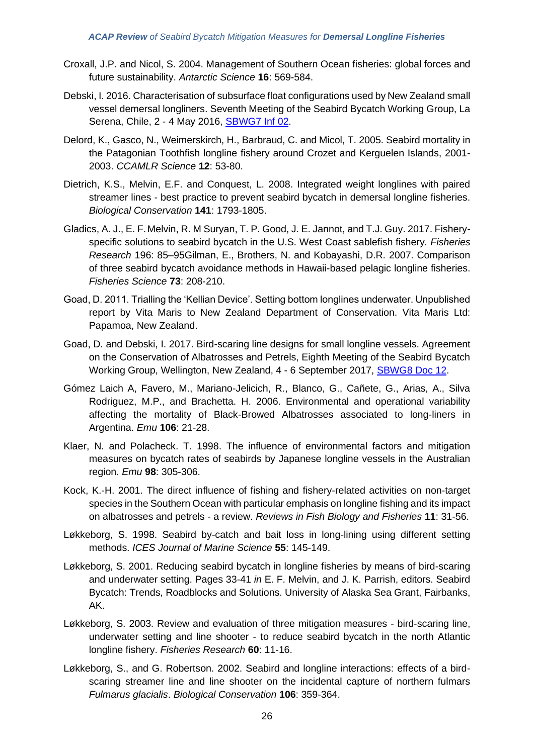- Croxall, J.P. and Nicol, S. 2004. Management of Southern Ocean fisheries: global forces and future sustainability. *Antarctic Science* **16**: 569-584.
- Debski, I. 2016. Characterisation of subsurface float configurations used by New Zealand small vessel demersal longliners. Seventh Meeting of the Seabird Bycatch Working Group, La Serena, Chile, 2 - 4 May 2016, [SBWG7 Inf 02.](https://acap.aq/en/working-groups/seabird-bycatch-working-group/seabird-bycatch-wg-meeting-7/sbwg7-information-papers/2710-sbwg7-inf-02-characterisation-of-subsurface-float-configurations-used-by-new-zealand-small-vessel-demersal-longliners/file)
- Delord, K., Gasco, N., Weimerskirch, H., Barbraud, C. and Micol, T. 2005. Seabird mortality in the Patagonian Toothfish longline fishery around Crozet and Kerguelen Islands, 2001- 2003. *CCAMLR Science* **12**: 53-80.
- Dietrich, K.S., Melvin, E.F. and Conquest, L. 2008. Integrated weight longlines with paired streamer lines - best practice to prevent seabird bycatch in demersal longline fisheries. *Biological Conservation* **141**: 1793-1805.
- Gladics, A. J., E. F.Melvin, R. M Suryan, T. P. Good, J. E. Jannot, and T.J. Guy. 2017. Fisheryspecific solutions to seabird bycatch in the U.S. West Coast sablefish fishery*. Fisheries Research* 196: 85–95Gilman, E., Brothers, N. and Kobayashi, D.R. 2007. Comparison of three seabird bycatch avoidance methods in Hawaii-based pelagic longline fisheries. *Fisheries Science* **73**: 208-210.
- Goad, D. 2011. Trialling the 'Kellian Device'. Setting bottom longlines underwater. Unpublished report by Vita Maris to New Zealand Department of Conservation. Vita Maris Ltd: Papamoa, New Zealand.
- Goad, D. and Debski, I. 2017. Bird-scaring line designs for small longline vessels. Agreement on the Conservation of Albatrosses and Petrels, Eighth Meeting of the Seabird Bycatch Working Group, Wellington, New Zealand, 4 - 6 September 2017, [SBWG8 Doc 12.](https://www.acap.aq/en/working-groups/seabird-bycatch-working-group/seabird-bycatch-wg-meeting-8/sbwg8-meeting-documents/2904-sbwg8-doc-12-bird-scaring-line-designs-for-small-longline-vessels/file)
- Gómez Laich A, Favero, M., Mariano-Jelicich, R., Blanco, G., Cañete, G., Arias, A., Silva Rodriguez, M.P., and Brachetta. H. 2006. Environmental and operational variability affecting the mortality of Black-Browed Albatrosses associated to long-liners in Argentina. *Emu* **106**: 21-28.
- Klaer, N. and Polacheck. T. 1998. The influence of environmental factors and mitigation measures on bycatch rates of seabirds by Japanese longline vessels in the Australian region. *Emu* **98**: 305-306.
- Kock, K.-H. 2001. The direct influence of fishing and fishery-related activities on non-target species in the Southern Ocean with particular emphasis on longline fishing and its impact on albatrosses and petrels - a review. *Reviews in Fish Biology and Fisheries* **11**: 31-56.
- Løkkeborg, S. 1998. Seabird by-catch and bait loss in long-lining using different setting methods. *ICES Journal of Marine Science* **55**: 145-149.
- Løkkeborg, S. 2001. Reducing seabird bycatch in longline fisheries by means of bird-scaring and underwater setting. Pages 33-41 *in* E. F. Melvin, and J. K. Parrish, editors. Seabird Bycatch: Trends, Roadblocks and Solutions. University of Alaska Sea Grant, Fairbanks, AK.
- Løkkeborg, S. 2003. Review and evaluation of three mitigation measures bird-scaring line, underwater setting and line shooter - to reduce seabird bycatch in the north Atlantic longline fishery. *Fisheries Research* **60**: 11-16.
- Løkkeborg, S., and G. Robertson. 2002. Seabird and longline interactions: effects of a birdscaring streamer line and line shooter on the incidental capture of northern fulmars *Fulmarus glacialis*. *Biological Conservation* **106**: 359-364.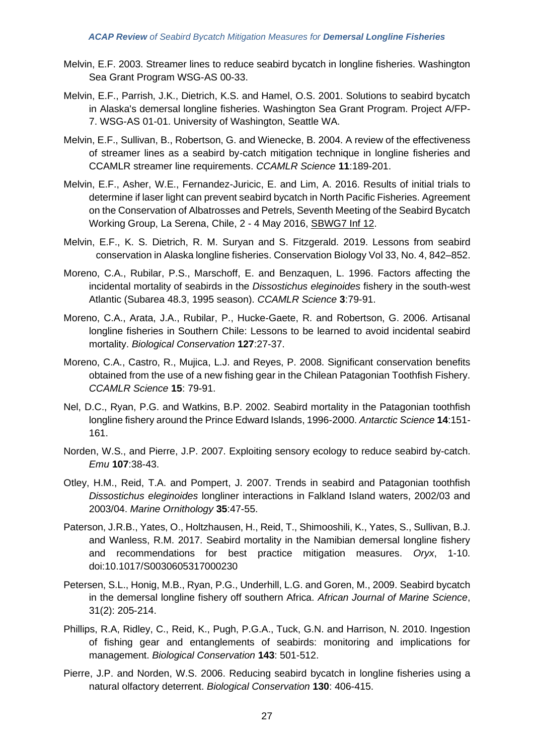- Melvin, E.F. 2003. Streamer lines to reduce seabird bycatch in longline fisheries. Washington Sea Grant Program WSG-AS 00-33.
- Melvin, E.F., Parrish, J.K., Dietrich, K.S. and Hamel, O.S. 2001. Solutions to seabird bycatch in Alaska's demersal longline fisheries. Washington Sea Grant Program. Project A/FP-7. WSG-AS 01-01. University of Washington, Seattle WA.
- Melvin, E.F., Sullivan, B., Robertson, G. and Wienecke, B. 2004. A review of the effectiveness of streamer lines as a seabird by-catch mitigation technique in longline fisheries and CCAMLR streamer line requirements. *CCAMLR Science* **11**:189-201.
- Melvin, E.F., Asher, W.E., Fernandez-Juricic, E. and Lim, A. 2016. Results of initial trials to determine if laser light can prevent seabird bycatch in North Pacific Fisheries. Agreement on the Conservation of Albatrosses and Petrels, Seventh Meeting of the Seabird Bycatch Working Group, La Serena, Chile, 2 - 4 May 2016, [SBWG7 Inf 12.](https://www.acap.aq/en/working-groups/seabird-bycatch-working-group/seabird-bycatch-wg-meeting-7/sbwg7-information-papers/2725-sbwg7-inf-12-results-of-initial-trials-to-determine-if-laser-light-can-prevent-seabird-bycatch-in-north-pacific-fisheries-summarry-only/file)
- Melvin, E.F., K. S. Dietrich, R. M. Suryan and S. Fitzgerald. 2019. Lessons from seabird conservation in Alaska longline fisheries. Conservation Biology Vol 33, No. 4, 842–852.
- Moreno, C.A., Rubilar, P.S., Marschoff, E. and Benzaquen, L. 1996. Factors affecting the incidental mortality of seabirds in the *Dissostichus eleginoides* fishery in the south-west Atlantic (Subarea 48.3, 1995 season). *CCAMLR Science* **3**:79-91.
- Moreno, C.A., Arata, J.A., Rubilar, P., Hucke-Gaete, R. and Robertson, G. 2006. Artisanal longline fisheries in Southern Chile: Lessons to be learned to avoid incidental seabird mortality. *Biological Conservation* **127**:27-37.
- Moreno, C.A., Castro, R., Mujica, L.J. and Reyes, P. 2008. Significant conservation benefits obtained from the use of a new fishing gear in the Chilean Patagonian Toothfish Fishery. *CCAMLR Science* **15**: 79-91.
- Nel, D.C., Ryan, P.G. and Watkins, B.P. 2002. Seabird mortality in the Patagonian toothfish longline fishery around the Prince Edward Islands, 1996-2000. *Antarctic Science* **14**:151- 161.
- Norden, W.S., and Pierre, J.P. 2007. Exploiting sensory ecology to reduce seabird by-catch. *Emu* **107**:38-43.
- Otley, H.M., Reid, T.A. and Pompert, J. 2007. Trends in seabird and Patagonian toothfish *Dissostichus eleginoides* longliner interactions in Falkland Island waters, 2002/03 and 2003/04. *Marine Ornithology* **35**:47-55.
- Paterson, J.R.B., Yates, O., Holtzhausen, H., Reid, T., Shimooshili, K., Yates, S., Sullivan, B.J. and Wanless, R.M. 2017. Seabird mortality in the Namibian demersal longline fishery and recommendations for best practice mitigation measures. *Oryx*, 1-10. doi:10.1017/S0030605317000230
- Petersen, S.L., Honig, M.B., Ryan, P.G., Underhill, L.G. and Goren, M., 2009. Seabird bycatch in the demersal longline fishery off southern Africa. *African Journal of Marine Science*, 31(2): 205-214.
- Phillips, R.A, Ridley, C., Reid, K., Pugh, P.G.A., Tuck, G.N. and Harrison, N. 2010. Ingestion of fishing gear and entanglements of seabirds: monitoring and implications for management. *Biological Conservation* **143**: 501-512.
- Pierre, J.P. and Norden, W.S. 2006. Reducing seabird bycatch in longline fisheries using a natural olfactory deterrent. *Biological Conservation* **130**: 406-415.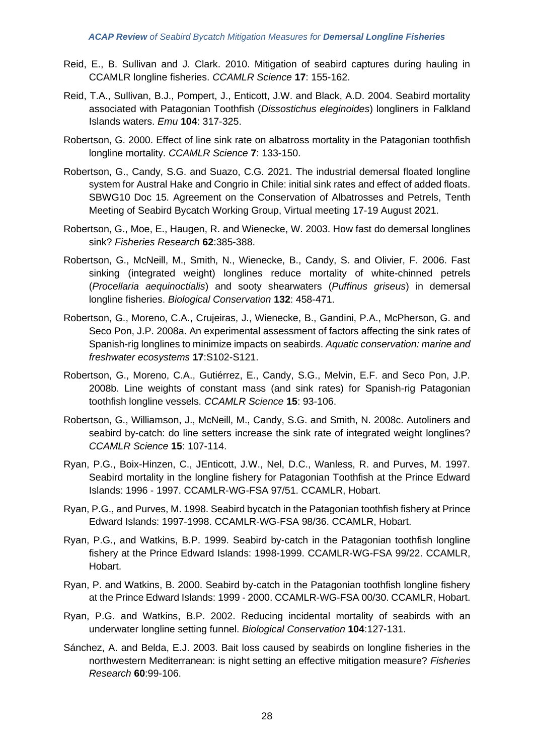- Reid, E., B. Sullivan and J. Clark. 2010. Mitigation of seabird captures during hauling in CCAMLR longline fisheries. *CCAMLR Science* **17**: 155-162.
- Reid, T.A., Sullivan, B.J., Pompert, J., Enticott, J.W. and Black, A.D. 2004. Seabird mortality associated with Patagonian Toothfish (*Dissostichus eleginoides*) longliners in Falkland Islands waters. *Emu* **104**: 317-325.
- Robertson, G. 2000. Effect of line sink rate on albatross mortality in the Patagonian toothfish longline mortality. *CCAMLR Science* **7**: 133-150.
- Robertson, G., Candy, S.G. and Suazo, C.G. 2021. The industrial demersal floated longline system for Austral Hake and Congrio in Chile: initial sink rates and effect of added floats. SBWG10 Doc 15. Agreement on the Conservation of Albatrosses and Petrels, Tenth Meeting of Seabird Bycatch Working Group, Virtual meeting 17-19 August 2021.
- Robertson, G., Moe, E., Haugen, R. and Wienecke, W. 2003. How fast do demersal longlines sink? *Fisheries Research* **62**:385-388.
- Robertson, G., McNeill, M., Smith, N., Wienecke, B., Candy, S. and Olivier, F. 2006. Fast sinking (integrated weight) longlines reduce mortality of white-chinned petrels (*Procellaria aequinoctialis*) and sooty shearwaters (*Puffinus griseus*) in demersal longline fisheries. *Biological Conservation* **132**: 458-471.
- Robertson, G., Moreno, C.A., Crujeiras, J., Wienecke, B., Gandini, P.A., McPherson, G. and Seco Pon, J.P. 2008a. An experimental assessment of factors affecting the sink rates of Spanish-rig longlines to minimize impacts on seabirds. *Aquatic conservation: marine and freshwater ecosystems* **17**:S102-S121.
- Robertson, G., Moreno, C.A., Gutiérrez, E., Candy, S.G., Melvin, E.F. and Seco Pon, J.P. 2008b. Line weights of constant mass (and sink rates) for Spanish-rig Patagonian toothfish longline vessels. *CCAMLR Science* **15**: 93-106.
- Robertson, G., Williamson, J., McNeill, M., Candy, S.G. and Smith, N. 2008c. Autoliners and seabird by-catch: do line setters increase the sink rate of integrated weight longlines? *CCAMLR Science* **15**: 107-114.
- Ryan, P.G., Boix-Hinzen, C., JEnticott, J.W., Nel, D.C., Wanless, R. and Purves, M. 1997. Seabird mortality in the longline fishery for Patagonian Toothfish at the Prince Edward Islands: 1996 - 1997. CCAMLR-WG-FSA 97/51. CCAMLR, Hobart.
- Ryan, P.G., and Purves, M. 1998. Seabird bycatch in the Patagonian toothfish fishery at Prince Edward Islands: 1997-1998. CCAMLR-WG-FSA 98/36. CCAMLR, Hobart.
- Ryan, P.G., and Watkins, B.P. 1999. Seabird by-catch in the Patagonian toothfish longline fishery at the Prince Edward Islands: 1998-1999. CCAMLR-WG-FSA 99/22. CCAMLR, Hobart.
- Ryan, P. and Watkins, B. 2000. Seabird by-catch in the Patagonian toothfish longline fishery at the Prince Edward Islands: 1999 - 2000. CCAMLR-WG-FSA 00/30. CCAMLR, Hobart.
- Ryan, P.G. and Watkins, B.P. 2002. Reducing incidental mortality of seabirds with an underwater longline setting funnel. *Biological Conservation* **104**:127-131.
- Sánchez, A. and Belda, E.J. 2003. Bait loss caused by seabirds on longline fisheries in the northwestern Mediterranean: is night setting an effective mitigation measure? *Fisheries Research* **60**:99-106.